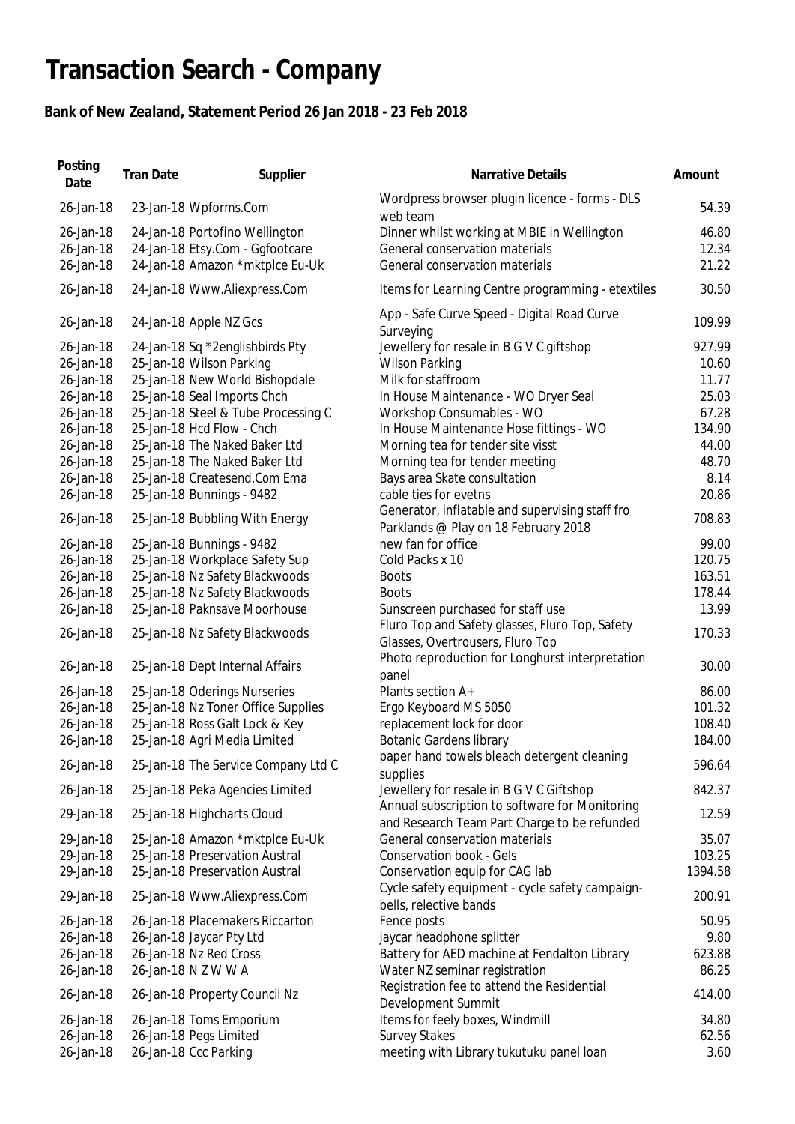## **Transaction Search - Company**

## **Bank of New Zealand, Statement Period 26 Jan 2018 - 23 Feb 2018**

| Posting<br>Date | <b>Tran Date</b> | Supplier                            | <b>Narrative Details</b>                                                                       | Amount  |
|-----------------|------------------|-------------------------------------|------------------------------------------------------------------------------------------------|---------|
| 26-Jan-18       |                  | 23-Jan-18 Wpforms.Com               | Wordpress browser plugin licence - forms - DLS<br>web team                                     | 54.39   |
| 26-Jan-18       |                  | 24-Jan-18 Portofino Wellington      | Dinner whilst working at MBIE in Wellington                                                    | 46.80   |
| 26-Jan-18       |                  | 24-Jan-18 Etsy.Com - Ggfootcare     | General conservation materials                                                                 | 12.34   |
| 26-Jan-18       |                  | 24-Jan-18 Amazon *mktplce Eu-Uk     | General conservation materials                                                                 | 21.22   |
| 26-Jan-18       |                  | 24-Jan-18 Www.Aliexpress.Com        | Items for Learning Centre programming - etextiles                                              | 30.50   |
| 26-Jan-18       |                  | 24-Jan-18 Apple NZ Gcs              | App - Safe Curve Speed - Digital Road Curve<br>Surveying                                       | 109.99  |
| 26-Jan-18       |                  | 24-Jan-18 Sq *2englishbirds Pty     | Jewellery for resale in B G V C giftshop                                                       | 927.99  |
| 26-Jan-18       |                  | 25-Jan-18 Wilson Parking            | <b>Wilson Parking</b>                                                                          | 10.60   |
| 26-Jan-18       |                  | 25-Jan-18 New World Bishopdale      | Milk for staffroom                                                                             | 11.77   |
| 26-Jan-18       |                  | 25-Jan-18 Seal Imports Chch         | In House Maintenance - WO Dryer Seal                                                           | 25.03   |
| 26-Jan-18       |                  | 25-Jan-18 Steel & Tube Processing C | Workshop Consumables - WO                                                                      | 67.28   |
| 26-Jan-18       |                  | 25-Jan-18 Hcd Flow - Chch           | In House Maintenance Hose fittings - WO                                                        | 134.90  |
| 26-Jan-18       |                  | 25-Jan-18 The Naked Baker Ltd       | Morning tea for tender site visst                                                              | 44.00   |
| 26-Jan-18       |                  | 25-Jan-18 The Naked Baker Ltd       |                                                                                                | 48.70   |
| 26-Jan-18       |                  |                                     | Morning tea for tender meeting                                                                 | 8.14    |
|                 |                  | 25-Jan-18 Createsend.Com Ema        | Bays area Skate consultation                                                                   | 20.86   |
| 26-Jan-18       |                  | 25-Jan-18 Bunnings - 9482           | cable ties for evetns                                                                          |         |
| 26-Jan-18       |                  | 25-Jan-18 Bubbling With Energy      | Generator, inflatable and supervising staff fro<br>Parklands @ Play on 18 February 2018        | 708.83  |
| 26-Jan-18       |                  | 25-Jan-18 Bunnings - 9482           | new fan for office                                                                             | 99.00   |
| 26-Jan-18       |                  | 25-Jan-18 Workplace Safety Sup      | Cold Packs x 10                                                                                | 120.75  |
| 26-Jan-18       |                  | 25-Jan-18 Nz Safety Blackwoods      | <b>Boots</b>                                                                                   | 163.51  |
| 26-Jan-18       |                  | 25-Jan-18 Nz Safety Blackwoods      | <b>Boots</b>                                                                                   | 178.44  |
| 26-Jan-18       |                  | 25-Jan-18 Paknsave Moorhouse        | Sunscreen purchased for staff use                                                              | 13.99   |
| 26-Jan-18       |                  | 25-Jan-18 Nz Safety Blackwoods      | Fluro Top and Safety glasses, Fluro Top, Safety<br>Glasses, Overtrousers, Fluro Top            | 170.33  |
| 26-Jan-18       |                  | 25-Jan-18 Dept Internal Affairs     | Photo reproduction for Longhurst interpretation<br>panel                                       | 30.00   |
| 26-Jan-18       |                  | 25-Jan-18 Oderings Nurseries        | Plants section A+                                                                              | 86.00   |
| 26-Jan-18       |                  | 25-Jan-18 Nz Toner Office Supplies  | Ergo Keyboard MS 5050                                                                          | 101.32  |
| 26-Jan-18       |                  | 25-Jan-18 Ross Galt Lock & Key      | replacement lock for door                                                                      | 108.40  |
| 26-Jan-18       |                  | 25-Jan-18 Agri Media Limited        | <b>Botanic Gardens library</b>                                                                 | 184.00  |
|                 |                  |                                     | paper hand towels bleach detergent cleaning                                                    |         |
| 26-Jan-18       |                  | 25-Jan-18 The Service Company Ltd C | supplies                                                                                       | 596.64  |
| 26-Jan-18       |                  | 25-Jan-18 Peka Agencies Limited     | Jewellery for resale in B G V C Giftshop                                                       | 842.37  |
| 29-Jan-18       |                  | 25-Jan-18 Highcharts Cloud          | Annual subscription to software for Monitoring<br>and Research Team Part Charge to be refunded | 12.59   |
| 29-Jan-18       |                  | 25-Jan-18 Amazon *mktplce Eu-Uk     | General conservation materials                                                                 | 35.07   |
| 29-Jan-18       |                  | 25-Jan-18 Preservation Austral      | <b>Conservation book - Gels</b>                                                                | 103.25  |
| 29-Jan-18       |                  | 25-Jan-18 Preservation Austral      | Conservation equip for CAG lab                                                                 | 1394.58 |
| 29-Jan-18       |                  | 25-Jan-18 Www.Aliexpress.Com        | Cycle safety equipment - cycle safety campaign-<br>bells, relective bands                      | 200.91  |
| 26-Jan-18       |                  | 26-Jan-18 Placemakers Riccarton     | Fence posts                                                                                    | 50.95   |
| 26-Jan-18       |                  | 26-Jan-18 Jaycar Pty Ltd            | jaycar headphone splitter                                                                      | 9.80    |
| 26-Jan-18       |                  | 26-Jan-18 Nz Red Cross              | Battery for AED machine at Fendalton Library                                                   | 623.88  |
| 26-Jan-18       |                  | 26-Jan-18 N Z W W A                 | Water NZ seminar registration                                                                  | 86.25   |
|                 |                  |                                     | Registration fee to attend the Residential                                                     |         |
| 26-Jan-18       |                  | 26-Jan-18 Property Council Nz       | Development Summit                                                                             | 414.00  |
| 26-Jan-18       |                  | 26-Jan-18 Toms Emporium             | Items for feely boxes, Windmill                                                                | 34.80   |
| 26-Jan-18       |                  | 26-Jan-18 Pegs Limited              | <b>Survey Stakes</b>                                                                           | 62.56   |
| 26-Jan-18       |                  | 26-Jan-18 Ccc Parking               | meeting with Library tukutuku panel loan                                                       | 3.60    |
|                 |                  |                                     |                                                                                                |         |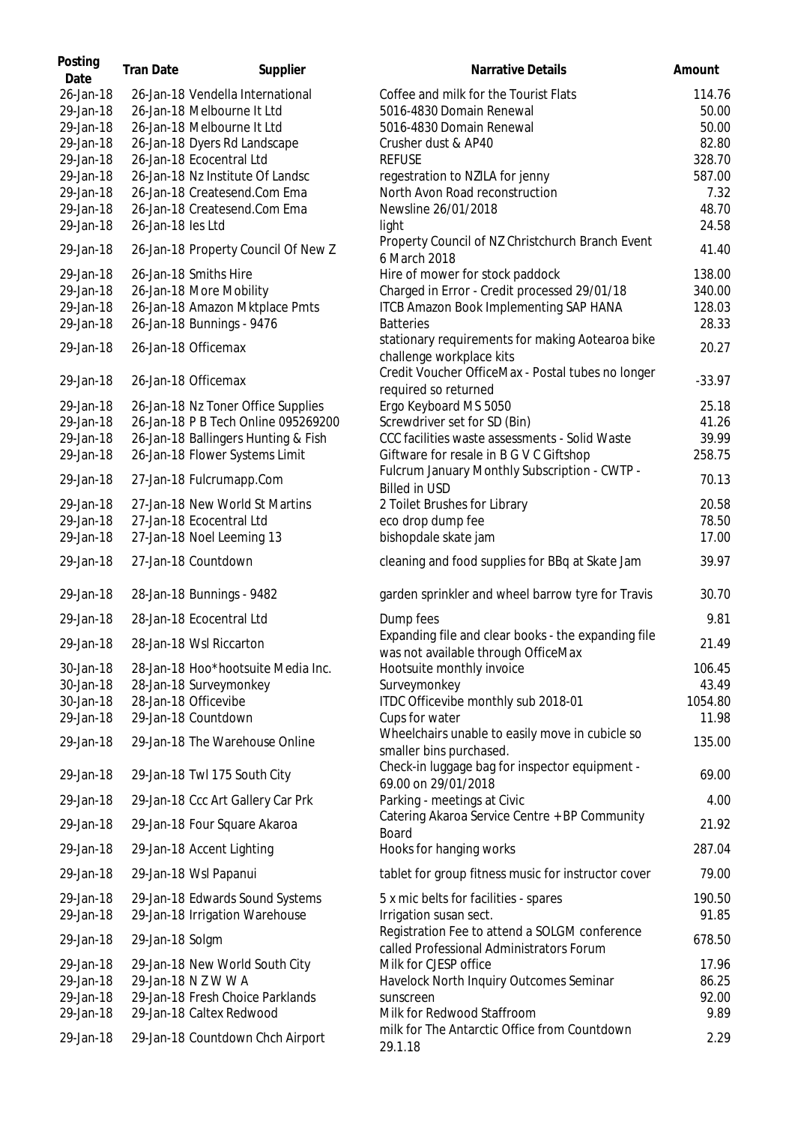| Posting<br>Date        | <b>Tran Date</b>  | Supplier                                    | <b>Narrative Details</b>                                                                  | Amount          |
|------------------------|-------------------|---------------------------------------------|-------------------------------------------------------------------------------------------|-----------------|
| 26-Jan-18              |                   | 26-Jan-18 Vendella International            | Coffee and milk for the Tourist Flats                                                     | 114.76          |
| 29-Jan-18              |                   | 26-Jan-18 Melbourne It Ltd                  | 5016-4830 Domain Renewal                                                                  | 50.00           |
| 29-Jan-18              |                   | 26-Jan-18 Melbourne It Ltd                  | 5016-4830 Domain Renewal                                                                  | 50.00           |
| 29-Jan-18              |                   | 26-Jan-18 Dyers Rd Landscape                | Crusher dust & AP40                                                                       | 82.80           |
| 29-Jan-18              |                   | 26-Jan-18 Ecocentral Ltd                    | <b>REFUSE</b>                                                                             | 328.70          |
| 29-Jan-18              |                   | 26-Jan-18 Nz Institute Of Landsc            | regestration to NZILA for jenny                                                           | 587.00          |
| 29-Jan-18              |                   | 26-Jan-18 Createsend.Com Ema                | North Avon Road reconstruction                                                            | 7.32            |
| 29-Jan-18              |                   | 26-Jan-18 Createsend.Com Ema                | Newsline 26/01/2018                                                                       | 48.70           |
| 29-Jan-18              | 26-Jan-18 les Ltd |                                             | light                                                                                     | 24.58           |
| 29-Jan-18              |                   | 26-Jan-18 Property Council Of New Z         | Property Council of NZ Christchurch Branch Event<br>6 March 2018                          | 41.40           |
| 29-Jan-18              |                   | 26-Jan-18 Smiths Hire                       | Hire of mower for stock paddock                                                           | 138.00          |
| 29-Jan-18              |                   | 26-Jan-18 More Mobility                     | Charged in Error - Credit processed 29/01/18                                              | 340.00          |
| 29-Jan-18              |                   | 26-Jan-18 Amazon Mktplace Pmts              | <b>ITCB Amazon Book Implementing SAP HANA</b>                                             | 128.03          |
| 29-Jan-18              |                   | 26-Jan-18 Bunnings - 9476                   | <b>Batteries</b>                                                                          | 28.33           |
| 29-Jan-18              |                   | 26-Jan-18 Officemax                         | stationary requirements for making Aotearoa bike<br>challenge workplace kits              | 20.27           |
| 29-Jan-18              |                   | 26-Jan-18 Officemax                         | Credit Voucher OfficeMax - Postal tubes no longer<br>required so returned                 | $-33.97$        |
| 29-Jan-18              |                   | 26-Jan-18 Nz Toner Office Supplies          | Ergo Keyboard MS 5050                                                                     | 25.18           |
| 29-Jan-18              |                   | 26-Jan-18 P B Tech Online 095269200         | Screwdriver set for SD (Bin)                                                              | 41.26           |
| 29-Jan-18              |                   | 26-Jan-18 Ballingers Hunting & Fish         | CCC facilities waste assessments - Solid Waste                                            | 39.99           |
| 29-Jan-18              |                   | 26-Jan-18 Flower Systems Limit              | Giftware for resale in B G V C Giftshop                                                   | 258.75          |
| 29-Jan-18              |                   | 27-Jan-18 Fulcrumapp.Com                    | Fulcrum January Monthly Subscription - CWTP -<br><b>Billed in USD</b>                     | 70.13           |
| 29-Jan-18              |                   | 27-Jan-18 New World St Martins              | 2 Toilet Brushes for Library                                                              | 20.58           |
| 29-Jan-18              |                   | 27-Jan-18 Ecocentral Ltd                    | eco drop dump fee                                                                         | 78.50           |
| 29-Jan-18              |                   | 27-Jan-18 Noel Leeming 13                   | bishopdale skate jam                                                                      | 17.00           |
| 29-Jan-18              |                   | 27-Jan-18 Countdown                         | cleaning and food supplies for BBq at Skate Jam                                           | 39.97           |
| 29-Jan-18              |                   | 28-Jan-18 Bunnings - 9482                   | garden sprinkler and wheel barrow tyre for Travis                                         | 30.70           |
| 29-Jan-18              |                   | 28-Jan-18 Ecocentral Ltd                    | Dump fees                                                                                 | 9.81            |
| 29-Jan-18              |                   | 28-Jan-18 Wsl Riccarton                     | Expanding file and clear books - the expanding file                                       | 21.49           |
|                        |                   |                                             | was not available through OfficeMax                                                       |                 |
| 30-Jan-18              |                   | 28-Jan-18 Hoo*hootsuite Media Inc.          | Hootsuite monthly invoice                                                                 | 106.45          |
| 30-Jan-18              |                   | 28-Jan-18 Surveymonkey                      | Surveymonkey                                                                              | 43.49           |
| 30-Jan-18<br>29-Jan-18 |                   | 28-Jan-18 Officevibe<br>29-Jan-18 Countdown | ITDC Officevibe monthly sub 2018-01                                                       | 1054.80         |
| 29-Jan-18              |                   | 29-Jan-18 The Warehouse Online              | Cups for water<br>Wheelchairs unable to easily move in cubicle so                         | 11.98<br>135.00 |
| 29-Jan-18              |                   | 29-Jan-18 Twl 175 South City                | smaller bins purchased.<br>Check-in luggage bag for inspector equipment -                 | 69.00           |
| 29-Jan-18              |                   | 29-Jan-18 Ccc Art Gallery Car Prk           | 69.00 on 29/01/2018<br>Parking - meetings at Civic                                        | 4.00            |
| 29-Jan-18              |                   | 29-Jan-18 Four Square Akaroa                | Catering Akaroa Service Centre + BP Community<br>Board                                    | 21.92           |
| 29-Jan-18              |                   | 29-Jan-18 Accent Lighting                   | Hooks for hanging works                                                                   | 287.04          |
| 29-Jan-18              |                   | 29-Jan-18 Wsl Papanui                       | tablet for group fitness music for instructor cover                                       | 79.00           |
| 29-Jan-18              |                   | 29-Jan-18 Edwards Sound Systems             | 5 x mic belts for facilities - spares                                                     | 190.50          |
| 29-Jan-18              |                   | 29-Jan-18 Irrigation Warehouse              | Irrigation susan sect.                                                                    | 91.85           |
| 29-Jan-18              | 29-Jan-18 Solgm   |                                             | Registration Fee to attend a SOLGM conference<br>called Professional Administrators Forum | 678.50          |
| 29-Jan-18              |                   | 29-Jan-18 New World South City              | Milk for CJESP office                                                                     | 17.96           |
| 29-Jan-18              |                   | 29-Jan-18 N Z W W A                         | Havelock North Inquiry Outcomes Seminar                                                   | 86.25           |
| 29-Jan-18              |                   | 29-Jan-18 Fresh Choice Parklands            | sunscreen                                                                                 | 92.00           |
| 29-Jan-18              |                   | 29-Jan-18 Caltex Redwood                    | Milk for Redwood Staffroom                                                                | 9.89            |
| 29-Jan-18              |                   | 29-Jan-18 Countdown Chch Airport            | milk for The Antarctic Office from Countdown<br>29.1.18                                   | 2.29            |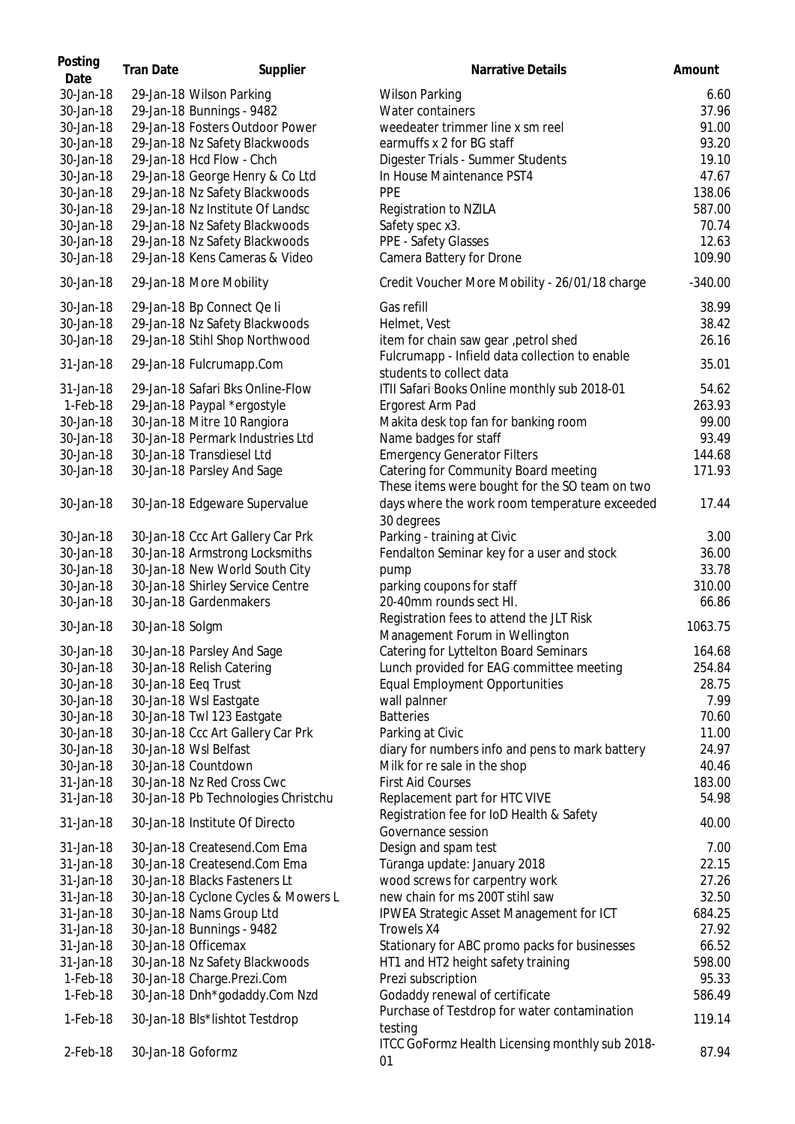| Posting<br>Date | <b>Tran Date</b>  | Supplier                            | Narrative Details                                                          | Amount    |
|-----------------|-------------------|-------------------------------------|----------------------------------------------------------------------------|-----------|
| 30-Jan-18       |                   | 29-Jan-18 Wilson Parking            | <b>Wilson Parking</b>                                                      | 6.60      |
| 30-Jan-18       |                   | 29-Jan-18 Bunnings - 9482           | Water containers                                                           | 37.96     |
| 30-Jan-18       |                   | 29-Jan-18 Fosters Outdoor Power     | weedeater trimmer line x sm reel                                           | 91.00     |
| 30-Jan-18       |                   | 29-Jan-18 Nz Safety Blackwoods      | earmuffs x 2 for BG staff                                                  | 93.20     |
| 30-Jan-18       |                   | 29-Jan-18 Hcd Flow - Chch           | Digester Trials - Summer Students                                          | 19.10     |
| 30-Jan-18       |                   | 29-Jan-18 George Henry & Co Ltd     | In House Maintenance PST4                                                  | 47.67     |
| 30-Jan-18       |                   | 29-Jan-18 Nz Safety Blackwoods      | <b>PPE</b>                                                                 | 138.06    |
| 30-Jan-18       |                   | 29-Jan-18 Nz Institute Of Landsc    | Registration to NZILA                                                      | 587.00    |
| 30-Jan-18       |                   | 29-Jan-18 Nz Safety Blackwoods      | Safety spec x3.                                                            | 70.74     |
| 30-Jan-18       |                   | 29-Jan-18 Nz Safety Blackwoods      | PPE - Safety Glasses                                                       | 12.63     |
| 30-Jan-18       |                   | 29-Jan-18 Kens Cameras & Video      | Camera Battery for Drone                                                   | 109.90    |
| 30-Jan-18       |                   | 29-Jan-18 More Mobility             | Credit Voucher More Mobility - 26/01/18 charge                             | $-340.00$ |
| 30-Jan-18       |                   | 29-Jan-18 Bp Connect Qe li          | Gas refill                                                                 | 38.99     |
| 30-Jan-18       |                   | 29-Jan-18 Nz Safety Blackwoods      | Helmet, Vest                                                               | 38.42     |
|                 |                   |                                     |                                                                            |           |
| 30-Jan-18       |                   | 29-Jan-18 Stihl Shop Northwood      | item for chain saw gear , petrol shed                                      | 26.16     |
| 31-Jan-18       |                   | 29-Jan-18 Fulcrumapp.Com            | Fulcrumapp - Infield data collection to enable<br>students to collect data | 35.01     |
| 31-Jan-18       |                   | 29-Jan-18 Safari Bks Online-Flow    | ITII Safari Books Online monthly sub 2018-01                               | 54.62     |
| 1-Feb-18        |                   | 29-Jan-18 Paypal *ergostyle         | Ergorest Arm Pad                                                           | 263.93    |
| 30-Jan-18       |                   | 30-Jan-18 Mitre 10 Rangiora         | Makita desk top fan for banking room                                       | 99.00     |
| 30-Jan-18       |                   | 30-Jan-18 Permark Industries Ltd    | Name badges for staff                                                      | 93.49     |
| 30-Jan-18       |                   | 30-Jan-18 Transdiesel Ltd           | <b>Emergency Generator Filters</b>                                         | 144.68    |
| 30-Jan-18       |                   | 30-Jan-18 Parsley And Sage          | Catering for Community Board meeting                                       | 171.93    |
|                 |                   |                                     | These items were bought for the SO team on two                             |           |
| 30-Jan-18       |                   | 30-Jan-18 Edgeware Supervalue       | days where the work room temperature exceeded                              | 17.44     |
|                 |                   |                                     | 30 degrees                                                                 |           |
| 30-Jan-18       |                   | 30-Jan-18 Ccc Art Gallery Car Prk   | Parking - training at Civic                                                | 3.00      |
| 30-Jan-18       |                   | 30-Jan-18 Armstrong Locksmiths      | Fendalton Seminar key for a user and stock                                 | 36.00     |
| 30-Jan-18       |                   | 30-Jan-18 New World South City      | pump                                                                       | 33.78     |
| 30-Jan-18       |                   | 30-Jan-18 Shirley Service Centre    | parking coupons for staff                                                  | 310.00    |
| 30-Jan-18       |                   | 30-Jan-18 Gardenmakers              | 20-40mm rounds sect HI.                                                    | 66.86     |
| 30-Jan-18       | 30-Jan-18 Solgm   |                                     | Registration fees to attend the JLT Risk                                   | 1063.75   |
|                 |                   |                                     | Management Forum in Wellington                                             |           |
| 30-Jan-18       |                   | 30-Jan-18 Parsley And Sage          | Catering for Lyttelton Board Seminars                                      | 164.68    |
| 30-Jan-18       |                   | 30-Jan-18 Relish Catering           | Lunch provided for EAG committee meeting                                   | 254.84    |
| 30-Jan-18       |                   | 30-Jan-18 Eeq Trust                 | <b>Equal Employment Opportunities</b>                                      | 28.75     |
| 30-Jan-18       |                   | 30-Jan-18 Wsl Eastgate              | wall palnner                                                               | 7.99      |
| 30-Jan-18       |                   | 30-Jan-18 Twl 123 Eastgate          | <b>Batteries</b>                                                           | 70.60     |
| 30-Jan-18       |                   | 30-Jan-18 Ccc Art Gallery Car Prk   | Parking at Civic                                                           | 11.00     |
| 30-Jan-18       |                   | 30-Jan-18 Wsl Belfast               | diary for numbers info and pens to mark battery                            | 24.97     |
| 30-Jan-18       |                   | 30-Jan-18 Countdown                 | Milk for re sale in the shop                                               | 40.46     |
| 31-Jan-18       |                   | 30-Jan-18 Nz Red Cross Cwc          | <b>First Aid Courses</b>                                                   | 183.00    |
| 31-Jan-18       |                   | 30-Jan-18 Pb Technologies Christchu | Replacement part for HTC VIVE                                              | 54.98     |
| 31-Jan-18       |                   | 30-Jan-18 Institute Of Directo      | Registration fee for IoD Health & Safety                                   | 40.00     |
|                 |                   |                                     | Governance session                                                         |           |
| 31-Jan-18       |                   | 30-Jan-18 Createsend.Com Ema        | Design and spam test                                                       | 7.00      |
| 31-Jan-18       |                   | 30-Jan-18 Createsend.Com Ema        | Tūranga update: January 2018                                               | 22.15     |
| 31-Jan-18       |                   | 30-Jan-18 Blacks Fasteners Lt       | wood screws for carpentry work                                             | 27.26     |
| 31-Jan-18       |                   | 30-Jan-18 Cyclone Cycles & Mowers L | new chain for ms 200T stihl saw                                            | 32.50     |
| 31-Jan-18       |                   | 30-Jan-18 Nams Group Ltd            | IPWEA Strategic Asset Management for ICT                                   | 684.25    |
| 31-Jan-18       |                   | 30-Jan-18 Bunnings - 9482           | Trowels X4                                                                 | 27.92     |
| 31-Jan-18       |                   | 30-Jan-18 Officemax                 | Stationary for ABC promo packs for businesses                              | 66.52     |
| 31-Jan-18       |                   | 30-Jan-18 Nz Safety Blackwoods      | HT1 and HT2 height safety training                                         | 598.00    |
| 1-Feb-18        |                   | 30-Jan-18 Charge.Prezi.Com          | Prezi subscription                                                         | 95.33     |
| 1-Feb-18        |                   | 30-Jan-18 Dnh*godaddy.Com Nzd       | Godaddy renewal of certificate                                             | 586.49    |
| 1-Feb-18        |                   | 30-Jan-18 Bls*lishtot Testdrop      | Purchase of Testdrop for water contamination<br>testing                    | 119.14    |
| 2-Feb-18        | 30-Jan-18 Goformz |                                     | ITCC GoFormz Health Licensing monthly sub 2018-<br>01                      | 87.94     |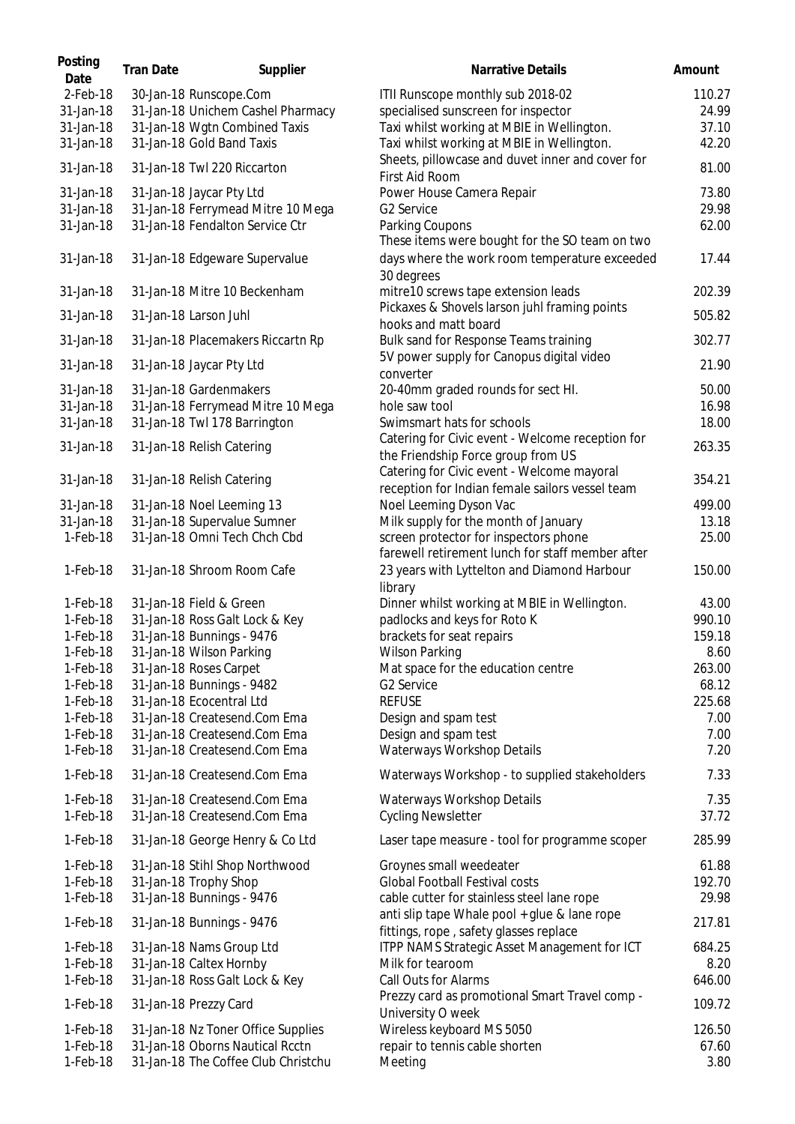| Posting<br>Date | <b>Tran Date</b> | Supplier                            | Narrative Details                                                                      | Amount |
|-----------------|------------------|-------------------------------------|----------------------------------------------------------------------------------------|--------|
| $2$ -Feb-18     |                  | 30-Jan-18 Runscope.Com              | ITII Runscope monthly sub 2018-02                                                      | 110.27 |
| 31-Jan-18       |                  | 31-Jan-18 Unichem Cashel Pharmacy   | specialised sunscreen for inspector                                                    | 24.99  |
| 31-Jan-18       |                  | 31-Jan-18 Wgtn Combined Taxis       | Taxi whilst working at MBIE in Wellington.                                             | 37.10  |
| 31-Jan-18       |                  | 31-Jan-18 Gold Band Taxis           | Taxi whilst working at MBIE in Wellington.                                             | 42.20  |
| 31-Jan-18       |                  | 31-Jan-18 Twl 220 Riccarton         | Sheets, pillowcase and duvet inner and cover for<br>First Aid Room                     | 81.00  |
| 31-Jan-18       |                  | 31-Jan-18 Jaycar Pty Ltd            | Power House Camera Repair                                                              | 73.80  |
| 31-Jan-18       |                  | 31-Jan-18 Ferrymead Mitre 10 Mega   | G2 Service                                                                             | 29.98  |
| 31-Jan-18       |                  | 31-Jan-18 Fendalton Service Ctr     | Parking Coupons                                                                        | 62.00  |
|                 |                  |                                     | These items were bought for the SO team on two                                         |        |
| 31-Jan-18       |                  | 31-Jan-18 Edgeware Supervalue       | days where the work room temperature exceeded<br>30 degrees                            | 17.44  |
| 31-Jan-18       |                  | 31-Jan-18 Mitre 10 Beckenham        | mitre10 screws tape extension leads                                                    | 202.39 |
| 31-Jan-18       |                  | 31-Jan-18 Larson Juhl               | Pickaxes & Shovels larson juhl framing points<br>hooks and matt board                  | 505.82 |
| 31-Jan-18       |                  | 31-Jan-18 Placemakers Riccartn Rp   | Bulk sand for Response Teams training                                                  | 302.77 |
| 31-Jan-18       |                  | 31-Jan-18 Jaycar Pty Ltd            | 5V power supply for Canopus digital video<br>converter                                 | 21.90  |
| 31-Jan-18       |                  | 31-Jan-18 Gardenmakers              | 20-40mm graded rounds for sect HI.                                                     | 50.00  |
| 31-Jan-18       |                  | 31-Jan-18 Ferrymead Mitre 10 Mega   | hole saw tool                                                                          | 16.98  |
| 31-Jan-18       |                  | 31-Jan-18 Twl 178 Barrington        | Swimsmart hats for schools                                                             | 18.00  |
|                 |                  |                                     | Catering for Civic event - Welcome reception for                                       |        |
| 31-Jan-18       |                  | 31-Jan-18 Relish Catering           | the Friendship Force group from US                                                     | 263.35 |
|                 |                  |                                     | Catering for Civic event - Welcome mayoral                                             |        |
| 31-Jan-18       |                  | 31-Jan-18 Relish Catering           | reception for Indian female sailors vessel team                                        | 354.21 |
| 31-Jan-18       |                  | 31-Jan-18 Noel Leeming 13           | Noel Leeming Dyson Vac                                                                 | 499.00 |
| 31-Jan-18       |                  | 31-Jan-18 Supervalue Sumner         | Milk supply for the month of January                                                   | 13.18  |
| $1-Feb-18$      |                  | 31-Jan-18 Omni Tech Chch Cbd        | screen protector for inspectors phone                                                  | 25.00  |
|                 |                  |                                     | farewell retirement lunch for staff member after                                       |        |
| $1-Feb-18$      |                  | 31-Jan-18 Shroom Room Cafe          | 23 years with Lyttelton and Diamond Harbour                                            | 150.00 |
|                 |                  |                                     | library                                                                                |        |
| $1-Feb-18$      |                  | 31-Jan-18 Field & Green             | Dinner whilst working at MBIE in Wellington.                                           | 43.00  |
| $1-Feb-18$      |                  | 31-Jan-18 Ross Galt Lock & Key      | padlocks and keys for Roto K                                                           | 990.10 |
| 1-Feb-18        |                  | 31-Jan-18 Bunnings - 9476           | brackets for seat repairs                                                              | 159.18 |
| $1-Feb-18$      |                  | 31-Jan-18 Wilson Parking            | Wilson Parking                                                                         | 8.60   |
| 1-Feb-18        |                  | 31-Jan-18 Roses Carpet              | Mat space for the education centre                                                     | 263.00 |
| 1-Feb-18        |                  | 31-Jan-18 Bunnings - 9482           | G2 Service                                                                             | 68.12  |
| $1-Feb-18$      |                  | 31-Jan-18 Ecocentral Ltd            | <b>REFUSE</b>                                                                          | 225.68 |
| $1-Feb-18$      |                  | 31-Jan-18 Createsend.Com Ema        | Design and spam test                                                                   | 7.00   |
| $1-Feb-18$      |                  | 31-Jan-18 Createsend.Com Ema        | Design and spam test                                                                   | 7.00   |
| $1-Feb-18$      |                  | 31-Jan-18 Createsend.Com Ema        | Waterways Workshop Details                                                             | 7.20   |
| $1-Feb-18$      |                  | 31-Jan-18 Createsend.Com Ema        | Waterways Workshop - to supplied stakeholders                                          | 7.33   |
| $1-Feb-18$      |                  | 31-Jan-18 Createsend.Com Ema        | Waterways Workshop Details                                                             | 7.35   |
| $1-Feb-18$      |                  | 31-Jan-18 Createsend.Com Ema        | <b>Cycling Newsletter</b>                                                              | 37.72  |
| $1-Feb-18$      |                  | 31-Jan-18 George Henry & Co Ltd     | Laser tape measure - tool for programme scoper                                         | 285.99 |
| $1-Feb-18$      |                  | 31-Jan-18 Stihl Shop Northwood      | Groynes small weedeater                                                                | 61.88  |
| $1-Feb-18$      |                  | 31-Jan-18 Trophy Shop               | <b>Global Football Festival costs</b>                                                  | 192.70 |
| $1-Feb-18$      |                  | 31-Jan-18 Bunnings - 9476           | cable cutter for stainless steel lane rope                                             | 29.98  |
| $1-Feb-18$      |                  | 31-Jan-18 Bunnings - 9476           | anti slip tape Whale pool + glue & lane rope<br>fittings, rope, safety glasses replace | 217.81 |
| $1-Feb-18$      |                  | 31-Jan-18 Nams Group Ltd            | ITPP NAMS Strategic Asset Management for ICT                                           | 684.25 |
| $1-Feb-18$      |                  | 31-Jan-18 Caltex Hornby             | Milk for tearoom                                                                       | 8.20   |
| $1-Feb-18$      |                  | 31-Jan-18 Ross Galt Lock & Key      | Call Outs for Alarms                                                                   | 646.00 |
|                 |                  |                                     | Prezzy card as promotional Smart Travel comp -                                         |        |
| $1-Feb-18$      |                  | 31-Jan-18 Prezzy Card               | University O week                                                                      | 109.72 |
| $1-Feb-18$      |                  | 31-Jan-18 Nz Toner Office Supplies  | Wireless keyboard MS 5050                                                              | 126.50 |
| $1-Feb-18$      |                  | 31-Jan-18 Oborns Nautical Rcctn     | repair to tennis cable shorten                                                         | 67.60  |
| 1-Feb-18        |                  | 31-Jan-18 The Coffee Club Christchu | Meeting                                                                                | 3.80   |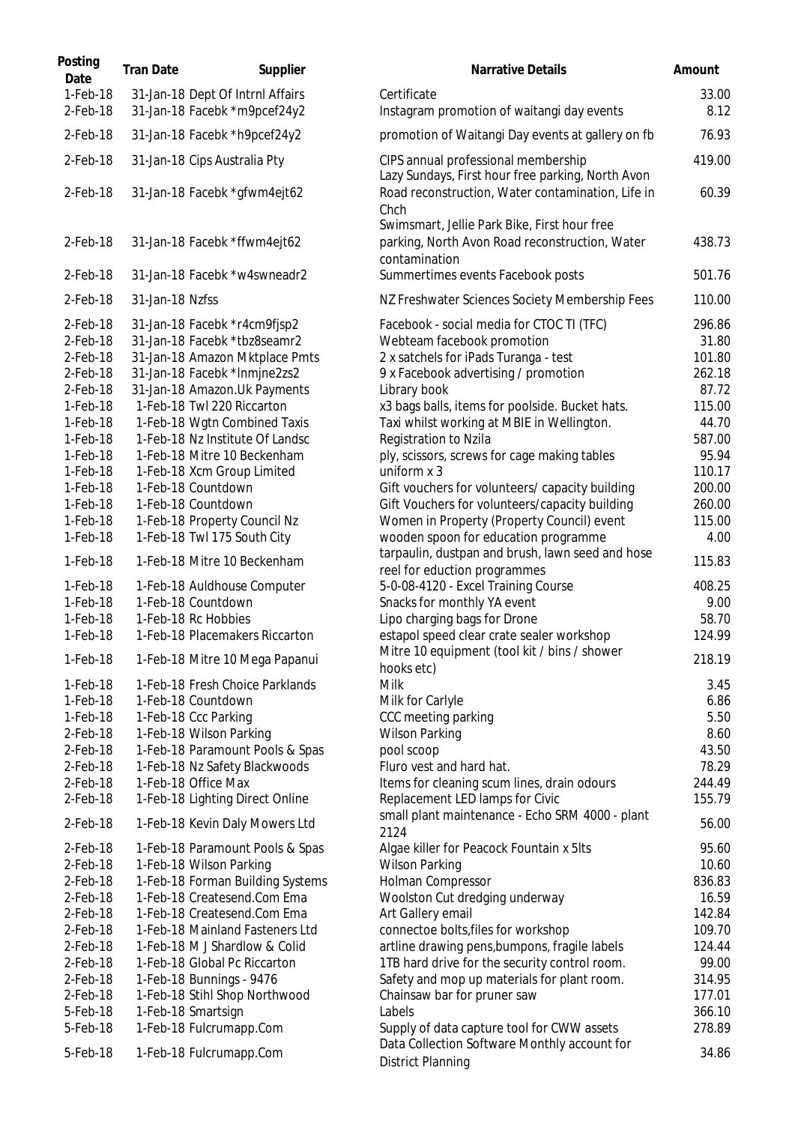| Posting<br>Date           | <b>Tran Date</b> | Supplier                                                         | Narrative Details                                                                                         | Amount        |
|---------------------------|------------------|------------------------------------------------------------------|-----------------------------------------------------------------------------------------------------------|---------------|
| $1-Feb-18$<br>$2$ -Feb-18 |                  | 31-Jan-18 Dept Of Intrnl Affairs<br>31-Jan-18 Facebk *m9pcef24y2 | Certificate<br>Instagram promotion of waitangi day events                                                 | 33.00<br>8.12 |
| $2$ -Feb-18               |                  | 31-Jan-18 Facebk *h9pcef24y2                                     | promotion of Waitangi Day events at gallery on fb                                                         | 76.93         |
| 2-Feb-18                  |                  | 31-Jan-18 Cips Australia Pty                                     | CIPS annual professional membership<br>Lazy Sundays, First hour free parking, North Avon                  | 419.00        |
| $2$ -Feb-18               |                  | 31-Jan-18 Facebk *gfwm4ejt62                                     | Road reconstruction, Water contamination, Life in<br>Chch<br>Swimsmart, Jellie Park Bike, First hour free | 60.39         |
| $2$ -Feb-18               |                  | 31-Jan-18 Facebk *ffwm4ejt62                                     | parking, North Avon Road reconstruction, Water<br>contamination                                           | 438.73        |
| $2$ -Feb-18               |                  | 31-Jan-18 Facebk *w4swneadr2                                     | Summertimes events Facebook posts                                                                         | 501.76        |
| $2$ -Feb-18               | 31-Jan-18 Nzfss  |                                                                  | NZ Freshwater Sciences Society Membership Fees                                                            | 110.00        |
| 2-Feb-18                  |                  | 31-Jan-18 Facebk *r4cm9fjsp2                                     | Facebook - social media for CTOC TI (TFC)                                                                 | 296.86        |
| 2-Feb-18                  |                  | 31-Jan-18 Facebk *tbz8seamr2                                     | Webteam facebook promotion                                                                                | 31.80         |
| 2-Feb-18                  |                  | 31-Jan-18 Amazon Mktplace Pmts                                   | 2 x satchels for iPads Turanga - test                                                                     | 101.80        |
| 2-Feb-18                  |                  | 31-Jan-18 Facebk *Inmjne2zs2                                     | 9 x Facebook advertising / promotion                                                                      | 262.18        |
| $2$ -Feb-18               |                  | 31-Jan-18 Amazon. Uk Payments                                    | Library book                                                                                              | 87.72         |
| $1-Feb-18$                |                  | 1-Feb-18 Twl 220 Riccarton                                       | x3 bags balls, items for poolside. Bucket hats.                                                           | 115.00        |
| $1-Feb-18$                |                  | 1-Feb-18 Wgtn Combined Taxis                                     | Taxi whilst working at MBIE in Wellington.                                                                | 44.70         |
| 1-Feb-18                  |                  | 1-Feb-18 Nz Institute Of Landsc                                  | Registration to Nzila                                                                                     | 587.00        |
| 1-Feb-18                  |                  | 1-Feb-18 Mitre 10 Beckenham                                      | ply, scissors, screws for cage making tables                                                              | 95.94         |
| 1-Feb-18                  |                  | 1-Feb-18 Xcm Group Limited                                       | uniform x 3                                                                                               | 110.17        |
| 1-Feb-18                  |                  | 1-Feb-18 Countdown                                               | Gift vouchers for volunteers/ capacity building                                                           | 200.00        |
| 1-Feb-18                  |                  | 1-Feb-18 Countdown                                               | Gift Vouchers for volunteers/capacity building                                                            | 260.00        |
| 1-Feb-18                  |                  | 1-Feb-18 Property Council Nz                                     | Women in Property (Property Council) event                                                                | 115.00        |
| 1-Feb-18                  |                  | 1-Feb-18 Twl 175 South City                                      | wooden spoon for education programme                                                                      | 4.00          |
| 1-Feb-18                  |                  | 1-Feb-18 Mitre 10 Beckenham                                      | tarpaulin, dustpan and brush, lawn seed and hose<br>reel for eduction programmes                          | 115.83        |
| 1-Feb-18                  |                  | 1-Feb-18 Auldhouse Computer                                      | 5-0-08-4120 - Excel Training Course                                                                       | 408.25        |
| 1-Feb-18                  |                  | 1-Feb-18 Countdown                                               | Snacks for monthly YA event                                                                               | 9.00          |
| 1-Feb-18                  |                  | 1-Feb-18 Rc Hobbies                                              | Lipo charging bags for Drone                                                                              | 58.70         |
| 1-Feb-18                  |                  | 1-Feb-18 Placemakers Riccarton                                   | estapol speed clear crate sealer workshop<br>Mitre 10 equipment (tool kit / bins / shower                 | 124.99        |
| 1-Feb-18                  |                  | 1-Feb-18 Mitre 10 Mega Papanui                                   | hooks etc)                                                                                                | 218.19        |
| 1-Feb-18                  |                  | 1-Feb-18 Fresh Choice Parklands                                  | Milk                                                                                                      | 3.45          |
| 1-Feb-18                  |                  | 1-Feb-18 Countdown                                               | Milk for Carlyle                                                                                          | 6.86          |
| 1-Feb-18                  |                  | 1-Feb-18 Ccc Parking                                             | CCC meeting parking                                                                                       | 5.50          |
| $2$ -Feb-18               |                  | 1-Feb-18 Wilson Parking                                          | <b>Wilson Parking</b>                                                                                     | 8.60          |
| $2$ -Feb-18               |                  | 1-Feb-18 Paramount Pools & Spas                                  | pool scoop                                                                                                | 43.50         |
| 2-Feb-18                  |                  | 1-Feb-18 Nz Safety Blackwoods                                    | Fluro vest and hard hat.                                                                                  | 78.29         |
| $2$ -Feb-18               |                  | 1-Feb-18 Office Max                                              | Items for cleaning scum lines, drain odours                                                               | 244.49        |
| 2-Feb-18                  |                  | 1-Feb-18 Lighting Direct Online                                  | Replacement LED lamps for Civic<br>small plant maintenance - Echo SRM 4000 - plant                        | 155.79        |
| 2-Feb-18                  |                  | 1-Feb-18 Kevin Daly Mowers Ltd                                   | 2124                                                                                                      | 56.00         |
| 2-Feb-18                  |                  | 1-Feb-18 Paramount Pools & Spas                                  | Algae killer for Peacock Fountain x 5lts                                                                  | 95.60         |
| 2-Feb-18                  |                  | 1-Feb-18 Wilson Parking                                          | <b>Wilson Parking</b>                                                                                     | 10.60         |
| 2-Feb-18                  |                  | 1-Feb-18 Forman Building Systems                                 | Holman Compressor                                                                                         | 836.83        |
| 2-Feb-18                  |                  | 1-Feb-18 Createsend.Com Ema                                      | Woolston Cut dredging underway                                                                            | 16.59         |
| 2-Feb-18                  |                  | 1-Feb-18 Createsend.Com Ema                                      | Art Gallery email                                                                                         | 142.84        |
| 2-Feb-18                  |                  | 1-Feb-18 Mainland Fasteners Ltd                                  | connectoe bolts, files for workshop                                                                       | 109.70        |
| 2-Feb-18                  |                  | 1-Feb-18 M J Shardlow & Colid                                    | artline drawing pens, bumpons, fragile labels                                                             | 124.44        |
| 2-Feb-18                  |                  | 1-Feb-18 Global Pc Riccarton                                     | 1TB hard drive for the security control room.                                                             | 99.00         |
| 2-Feb-18                  |                  | 1-Feb-18 Bunnings - 9476                                         | Safety and mop up materials for plant room.                                                               | 314.95        |
| 2-Feb-18                  |                  | 1-Feb-18 Stihl Shop Northwood                                    | Chainsaw bar for pruner saw                                                                               | 177.01        |
| 5-Feb-18                  |                  | 1-Feb-18 Smartsign                                               | Labels                                                                                                    | 366.10        |
| 5-Feb-18                  |                  | 1-Feb-18 Fulcrumapp.Com                                          | Supply of data capture tool for CWW assets                                                                | 278.89        |
| 5-Feb-18                  |                  | 1-Feb-18 Fulcrumapp.Com                                          | Data Collection Software Monthly account for<br><b>District Planning</b>                                  | 34.86         |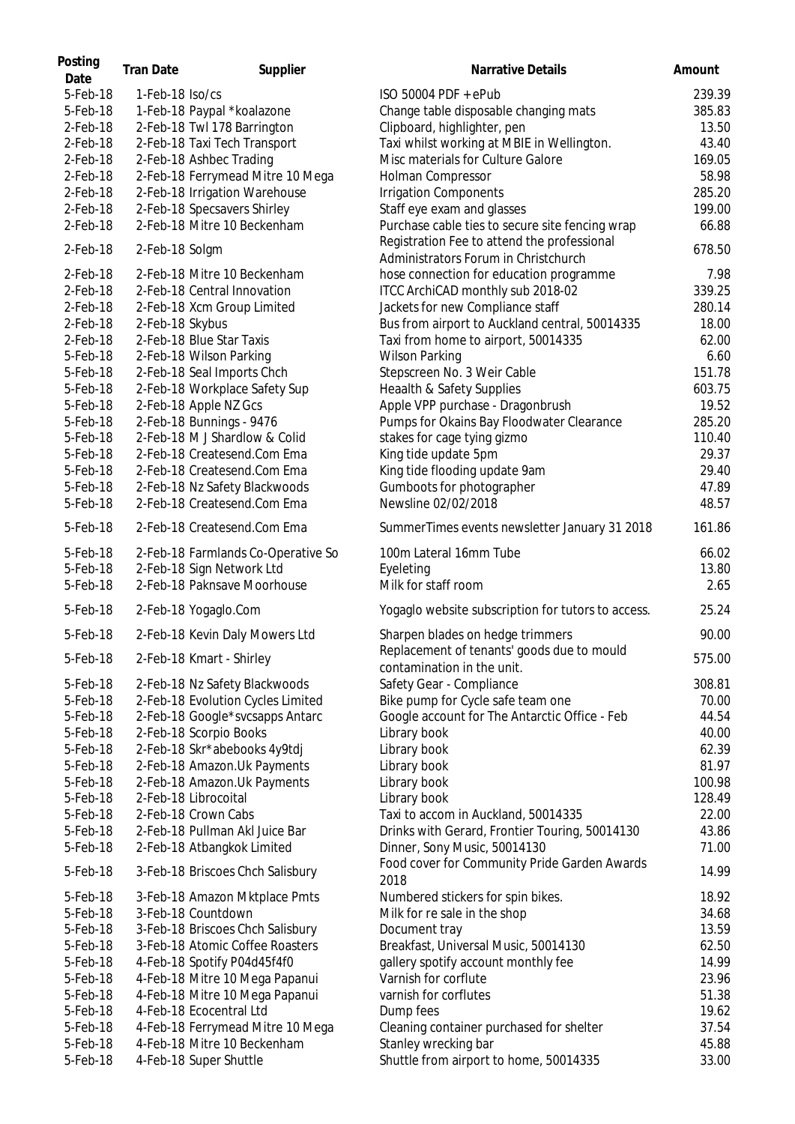| Posting<br>Date | <b>Tran Date</b> | Supplier                                                   | Narrative Details                                                                   | Amount |
|-----------------|------------------|------------------------------------------------------------|-------------------------------------------------------------------------------------|--------|
| 5-Feb-18        | 1-Feb-18 Iso/cs  |                                                            | ISO 50004 PDF + ePub                                                                | 239.39 |
| 5-Feb-18        |                  | 1-Feb-18 Paypal *koalazone                                 | Change table disposable changing mats                                               | 385.83 |
| 2-Feb-18        |                  | 2-Feb-18 Twl 178 Barrington                                | Clipboard, highlighter, pen                                                         | 13.50  |
| 2-Feb-18        |                  | 2-Feb-18 Taxi Tech Transport                               | Taxi whilst working at MBIE in Wellington.                                          | 43.40  |
| 2-Feb-18        |                  | 2-Feb-18 Ashbec Trading                                    | Misc materials for Culture Galore                                                   | 169.05 |
| 2-Feb-18        |                  | 2-Feb-18 Ferrymead Mitre 10 Mega                           | Holman Compressor                                                                   | 58.98  |
| $2$ -Feb-18     |                  | 2-Feb-18 Irrigation Warehouse                              | <b>Irrigation Components</b>                                                        | 285.20 |
|                 |                  |                                                            |                                                                                     |        |
| 2-Feb-18        |                  | 2-Feb-18 Specsavers Shirley<br>2-Feb-18 Mitre 10 Beckenham | Staff eye exam and glasses                                                          | 199.00 |
| 2-Feb-18        |                  |                                                            | Purchase cable ties to secure site fencing wrap                                     | 66.88  |
| 2-Feb-18        | 2-Feb-18 Solgm   |                                                            | Registration Fee to attend the professional<br>Administrators Forum in Christchurch | 678.50 |
| 2-Feb-18        |                  | 2-Feb-18 Mitre 10 Beckenham                                | hose connection for education programme                                             | 7.98   |
| 2-Feb-18        |                  | 2-Feb-18 Central Innovation                                | ITCC ArchiCAD monthly sub 2018-02                                                   | 339.25 |
| 2-Feb-18        |                  | 2-Feb-18 Xcm Group Limited                                 | Jackets for new Compliance staff                                                    | 280.14 |
| 2-Feb-18        | 2-Feb-18 Skybus  |                                                            | Bus from airport to Auckland central, 50014335                                      | 18.00  |
| $2$ -Feb-18     |                  | 2-Feb-18 Blue Star Taxis                                   | Taxi from home to airport, 50014335                                                 | 62.00  |
| 5-Feb-18        |                  | 2-Feb-18 Wilson Parking                                    | <b>Wilson Parking</b>                                                               | 6.60   |
| 5-Feb-18        |                  | 2-Feb-18 Seal Imports Chch                                 | Stepscreen No. 3 Weir Cable                                                         | 151.78 |
| 5-Feb-18        |                  | 2-Feb-18 Workplace Safety Sup                              | Heaalth & Safety Supplies                                                           | 603.75 |
| 5-Feb-18        |                  | 2-Feb-18 Apple NZ Gcs                                      | Apple VPP purchase - Dragonbrush                                                    | 19.52  |
| 5-Feb-18        |                  | 2-Feb-18 Bunnings - 9476                                   | Pumps for Okains Bay Floodwater Clearance                                           | 285.20 |
| 5-Feb-18        |                  | 2-Feb-18 M J Shardlow & Colid                              | stakes for cage tying gizmo                                                         | 110.40 |
| 5-Feb-18        |                  | 2-Feb-18 Createsend.Com Ema                                | King tide update 5pm                                                                | 29.37  |
| 5-Feb-18        |                  | 2-Feb-18 Createsend.Com Ema                                | King tide flooding update 9am                                                       | 29.40  |
| 5-Feb-18        |                  | 2-Feb-18 Nz Safety Blackwoods                              | Gumboots for photographer                                                           | 47.89  |
| 5-Feb-18        |                  | 2-Feb-18 Createsend.Com Ema                                | Newsline 02/02/2018                                                                 | 48.57  |
| 5-Feb-18        |                  | 2-Feb-18 Createsend.Com Ema                                | SummerTimes events newsletter January 31 2018                                       | 161.86 |
| 5-Feb-18        |                  | 2-Feb-18 Farmlands Co-Operative So                         | 100m Lateral 16mm Tube                                                              | 66.02  |
| 5-Feb-18        |                  | 2-Feb-18 Sign Network Ltd                                  | Eyeleting                                                                           | 13.80  |
| 5-Feb-18        |                  | 2-Feb-18 Paknsave Moorhouse                                | Milk for staff room                                                                 | 2.65   |
| 5-Feb-18        |                  | 2-Feb-18 Yogaglo.Com                                       | Yogaglo website subscription for tutors to access.                                  | 25.24  |
| 5-Feb-18        |                  | 2-Feb-18 Kevin Daly Mowers Ltd                             | Sharpen blades on hedge trimmers                                                    | 90.00  |
| 5-Feb-18        |                  | 2-Feb-18 Kmart - Shirley                                   | Replacement of tenants' goods due to mould<br>contamination in the unit.            | 575.00 |
| 5-Feb-18        |                  | 2-Feb-18 Nz Safety Blackwoods                              | Safety Gear - Compliance                                                            | 308.81 |
| 5-Feb-18        |                  | 2-Feb-18 Evolution Cycles Limited                          | Bike pump for Cycle safe team one                                                   | 70.00  |
| 5-Feb-18        |                  | 2-Feb-18 Google*svcsapps Antarc                            | Google account for The Antarctic Office - Feb                                       | 44.54  |
| 5-Feb-18        |                  | 2-Feb-18 Scorpio Books                                     | Library book                                                                        | 40.00  |
| 5-Feb-18        |                  | 2-Feb-18 Skr*abebooks 4y9tdj                               | Library book                                                                        | 62.39  |
| 5-Feb-18        |                  | 2-Feb-18 Amazon.Uk Payments                                | Library book                                                                        | 81.97  |
| 5-Feb-18        |                  | 2-Feb-18 Amazon.Uk Payments                                | Library book                                                                        | 100.98 |
| 5-Feb-18        |                  | 2-Feb-18 Librocoital                                       | Library book                                                                        | 128.49 |
| 5-Feb-18        |                  | 2-Feb-18 Crown Cabs                                        | Taxi to accom in Auckland, 50014335                                                 | 22.00  |
| 5-Feb-18        |                  | 2-Feb-18 Pullman Akl Juice Bar                             | Drinks with Gerard, Frontier Touring, 50014130                                      | 43.86  |
| 5-Feb-18        |                  | 2-Feb-18 Atbangkok Limited                                 | Dinner, Sony Music, 50014130                                                        | 71.00  |
| 5-Feb-18        |                  | 3-Feb-18 Briscoes Chch Salisbury                           | Food cover for Community Pride Garden Awards                                        | 14.99  |
| 5-Feb-18        |                  | 3-Feb-18 Amazon Mktplace Pmts                              | 2018<br>Numbered stickers for spin bikes.                                           | 18.92  |
| 5-Feb-18        |                  | 3-Feb-18 Countdown                                         | Milk for re sale in the shop                                                        | 34.68  |
| 5-Feb-18        |                  | 3-Feb-18 Briscoes Chch Salisbury                           | Document tray                                                                       | 13.59  |
| 5-Feb-18        |                  | 3-Feb-18 Atomic Coffee Roasters                            | Breakfast, Universal Music, 50014130                                                | 62.50  |
| 5-Feb-18        |                  | 4-Feb-18 Spotify P04d45f4f0                                | gallery spotify account monthly fee                                                 | 14.99  |
| 5-Feb-18        |                  | 4-Feb-18 Mitre 10 Mega Papanui                             | Varnish for corflute                                                                | 23.96  |
| 5-Feb-18        |                  | 4-Feb-18 Mitre 10 Mega Papanui                             | varnish for corflutes                                                               | 51.38  |
| 5-Feb-18        |                  | 4-Feb-18 Ecocentral Ltd                                    | Dump fees                                                                           | 19.62  |
| 5-Feb-18        |                  | 4-Feb-18 Ferrymead Mitre 10 Mega                           | Cleaning container purchased for shelter                                            | 37.54  |
| 5-Feb-18        |                  | 4-Feb-18 Mitre 10 Beckenham                                | Stanley wrecking bar                                                                | 45.88  |
| 5-Feb-18        |                  | 4-Feb-18 Super Shuttle                                     | Shuttle from airport to home, 50014335                                              | 33.00  |
|                 |                  |                                                            |                                                                                     |        |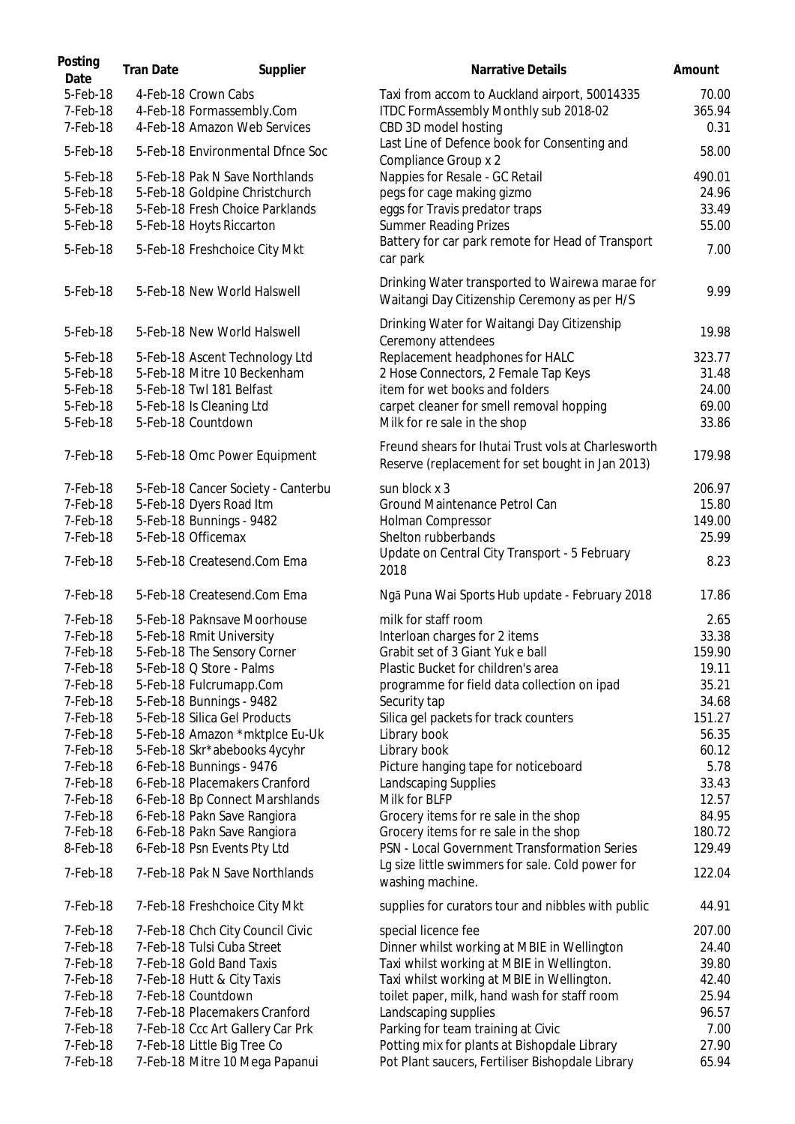| Posting<br>Date      | <b>Tran Date</b> | Supplier                                            | <b>Narrative Details</b>                                                                                | Amount          |
|----------------------|------------------|-----------------------------------------------------|---------------------------------------------------------------------------------------------------------|-----------------|
| 5-Feb-18<br>7-Feb-18 |                  | 4-Feb-18 Crown Cabs<br>4-Feb-18 Formassembly.Com    | Taxi from accom to Auckland airport, 50014335<br>ITDC FormAssembly Monthly sub 2018-02                  | 70.00<br>365.94 |
| 7-Feb-18             |                  | 4-Feb-18 Amazon Web Services                        | CBD 3D model hosting                                                                                    | 0.31            |
| 5-Feb-18             |                  | 5-Feb-18 Environmental Dfnce Soc                    | Last Line of Defence book for Consenting and<br>Compliance Group x 2                                    | 58.00           |
| 5-Feb-18             |                  | 5-Feb-18 Pak N Save Northlands                      | Nappies for Resale - GC Retail                                                                          | 490.01          |
| 5-Feb-18             |                  | 5-Feb-18 Goldpine Christchurch                      | pegs for cage making gizmo                                                                              | 24.96           |
| 5-Feb-18<br>5-Feb-18 |                  | 5-Feb-18 Fresh Choice Parklands                     | eggs for Travis predator traps                                                                          | 33.49           |
|                      |                  | 5-Feb-18 Hoyts Riccarton                            | <b>Summer Reading Prizes</b><br>Battery for car park remote for Head of Transport                       | 55.00           |
| 5-Feb-18             |                  | 5-Feb-18 Freshchoice City Mkt                       | car park                                                                                                | 7.00            |
| 5-Feb-18             |                  | 5-Feb-18 New World Halswell                         | Drinking Water transported to Wairewa marae for<br>Waitangi Day Citizenship Ceremony as per H/S         | 9.99            |
| 5-Feb-18             |                  | 5-Feb-18 New World Halswell                         | Drinking Water for Waitangi Day Citizenship<br>Ceremony attendees                                       | 19.98           |
| 5-Feb-18             |                  | 5-Feb-18 Ascent Technology Ltd                      | Replacement headphones for HALC                                                                         | 323.77          |
| 5-Feb-18             |                  | 5-Feb-18 Mitre 10 Beckenham                         | 2 Hose Connectors, 2 Female Tap Keys                                                                    | 31.48           |
| 5-Feb-18             |                  | 5-Feb-18 Twl 181 Belfast                            | item for wet books and folders                                                                          | 24.00           |
| 5-Feb-18             |                  | 5-Feb-18 Is Cleaning Ltd                            | carpet cleaner for smell removal hopping                                                                | 69.00           |
| 5-Feb-18             |                  | 5-Feb-18 Countdown                                  | Milk for re sale in the shop                                                                            | 33.86           |
| 7-Feb-18             |                  | 5-Feb-18 Omc Power Equipment                        | Freund shears for Ihutai Trust vols at Charlesworth<br>Reserve (replacement for set bought in Jan 2013) | 179.98          |
| 7-Feb-18             |                  | 5-Feb-18 Cancer Society - Canterbu                  | sun block x 3                                                                                           | 206.97          |
| 7-Feb-18             |                  | 5-Feb-18 Dyers Road Itm                             | Ground Maintenance Petrol Can                                                                           | 15.80           |
| 7-Feb-18             |                  | 5-Feb-18 Bunnings - 9482                            | Holman Compressor                                                                                       | 149.00          |
| 7-Feb-18             |                  | 5-Feb-18 Officemax                                  | Shelton rubberbands                                                                                     | 25.99           |
| 7-Feb-18             |                  | 5-Feb-18 Createsend.Com Ema                         | Update on Central City Transport - 5 February<br>2018                                                   | 8.23            |
| 7-Feb-18             |                  | 5-Feb-18 Createsend.Com Ema                         | Ngā Puna Wai Sports Hub update - February 2018                                                          | 17.86           |
| 7-Feb-18             |                  | 5-Feb-18 Paknsave Moorhouse                         | milk for staff room                                                                                     | 2.65            |
| 7-Feb-18             |                  | 5-Feb-18 Rmit University                            | Interloan charges for 2 items                                                                           | 33.38           |
| 7-Feb-18             |                  | 5-Feb-18 The Sensory Corner                         | Grabit set of 3 Giant Yuk e ball                                                                        | 159.90          |
| 7-Feb-18<br>7-Feb-18 |                  | 5-Feb-18 Q Store - Palms<br>5-Feb-18 Fulcrumapp.Com | Plastic Bucket for children's area                                                                      | 19.11<br>35.21  |
| 7-Feb-18             |                  | 5-Feb-18 Bunnings - 9482                            | programme for field data collection on ipad<br>Security tap                                             | 34.68           |
| 7-Feb-18             |                  | 5-Feb-18 Silica Gel Products                        | Silica gel packets for track counters                                                                   | 151.27          |
| 7-Feb-18             |                  | 5-Feb-18 Amazon *mktplce Eu-Uk                      | Library book                                                                                            | 56.35           |
| 7-Feb-18             |                  | 5-Feb-18 Skr*abebooks 4ycyhr                        | Library book                                                                                            | 60.12           |
| 7-Feb-18             |                  | 6-Feb-18 Bunnings - 9476                            | Picture hanging tape for noticeboard                                                                    | 5.78            |
| 7-Feb-18             |                  | 6-Feb-18 Placemakers Cranford                       | Landscaping Supplies                                                                                    | 33.43           |
| 7-Feb-18             |                  | 6-Feb-18 Bp Connect Marshlands                      | Milk for BLFP                                                                                           | 12.57           |
| 7-Feb-18             |                  | 6-Feb-18 Pakn Save Rangiora                         | Grocery items for re sale in the shop                                                                   | 84.95           |
| 7-Feb-18             |                  | 6-Feb-18 Pakn Save Rangiora                         | Grocery items for re sale in the shop                                                                   | 180.72          |
| 8-Feb-18             |                  | 6-Feb-18 Psn Events Pty Ltd                         | PSN - Local Government Transformation Series                                                            | 129.49          |
| 7-Feb-18             |                  | 7-Feb-18 Pak N Save Northlands                      | Lg size little swimmers for sale. Cold power for<br>washing machine.                                    | 122.04          |
| 7-Feb-18             |                  | 7-Feb-18 Freshchoice City Mkt                       | supplies for curators tour and nibbles with public                                                      | 44.91           |
| 7-Feb-18             |                  | 7-Feb-18 Chch City Council Civic                    | special licence fee                                                                                     | 207.00          |
| 7-Feb-18             |                  | 7-Feb-18 Tulsi Cuba Street                          | Dinner whilst working at MBIE in Wellington                                                             | 24.40           |
| 7-Feb-18             |                  | 7-Feb-18 Gold Band Taxis                            | Taxi whilst working at MBIE in Wellington.                                                              | 39.80           |
| 7-Feb-18<br>7-Feb-18 |                  | 7-Feb-18 Hutt & City Taxis<br>7-Feb-18 Countdown    | Taxi whilst working at MBIE in Wellington.                                                              | 42.40           |
| 7-Feb-18             |                  | 7-Feb-18 Placemakers Cranford                       | toilet paper, milk, hand wash for staff room<br>Landscaping supplies                                    | 25.94<br>96.57  |
| 7-Feb-18             |                  | 7-Feb-18 Ccc Art Gallery Car Prk                    | Parking for team training at Civic                                                                      | 7.00            |
| 7-Feb-18             |                  | 7-Feb-18 Little Big Tree Co                         | Potting mix for plants at Bishopdale Library                                                            | 27.90           |
| 7-Feb-18             |                  | 7-Feb-18 Mitre 10 Mega Papanui                      | Pot Plant saucers, Fertiliser Bishopdale Library                                                        | 65.94           |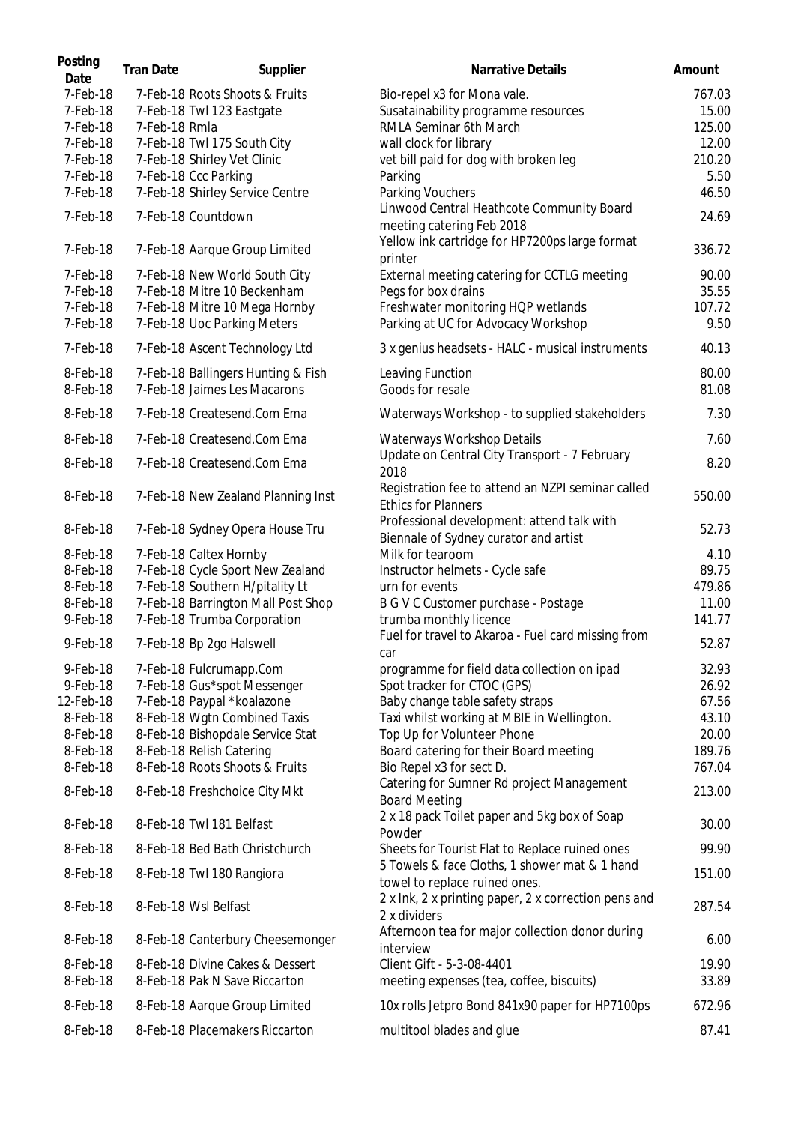| Posting<br>Date | <b>Tran Date</b> | Supplier                           | <b>Narrative Details</b>                                                            | Amount |
|-----------------|------------------|------------------------------------|-------------------------------------------------------------------------------------|--------|
| 7-Feb-18        |                  | 7-Feb-18 Roots Shoots & Fruits     | Bio-repel x3 for Mona vale.                                                         | 767.03 |
| 7-Feb-18        |                  | 7-Feb-18 Twl 123 Eastgate          | Susatainability programme resources                                                 | 15.00  |
| 7-Feb-18        | 7-Feb-18 Rmla    |                                    | RMLA Seminar 6th March                                                              | 125.00 |
| 7-Feb-18        |                  | 7-Feb-18 Twl 175 South City        | wall clock for library                                                              | 12.00  |
| 7-Feb-18        |                  | 7-Feb-18 Shirley Vet Clinic        | vet bill paid for dog with broken leg                                               | 210.20 |
| 7-Feb-18        |                  | 7-Feb-18 Ccc Parking               | Parking                                                                             | 5.50   |
| 7-Feb-18        |                  | 7-Feb-18 Shirley Service Centre    | Parking Vouchers                                                                    | 46.50  |
| 7-Feb-18        |                  | 7-Feb-18 Countdown                 | Linwood Central Heathcote Community Board<br>meeting catering Feb 2018              | 24.69  |
| 7-Feb-18        |                  | 7-Feb-18 Aarque Group Limited      | Yellow ink cartridge for HP7200ps large format<br>printer                           | 336.72 |
| 7-Feb-18        |                  | 7-Feb-18 New World South City      | External meeting catering for CCTLG meeting                                         | 90.00  |
| 7-Feb-18        |                  | 7-Feb-18 Mitre 10 Beckenham        | Pegs for box drains                                                                 | 35.55  |
| 7-Feb-18        |                  | 7-Feb-18 Mitre 10 Mega Hornby      | Freshwater monitoring HQP wetlands                                                  | 107.72 |
| 7-Feb-18        |                  | 7-Feb-18 Uoc Parking Meters        | Parking at UC for Advocacy Workshop                                                 | 9.50   |
| 7-Feb-18        |                  | 7-Feb-18 Ascent Technology Ltd     | 3 x genius headsets - HALC - musical instruments                                    | 40.13  |
| 8-Feb-18        |                  | 7-Feb-18 Ballingers Hunting & Fish | Leaving Function                                                                    | 80.00  |
| 8-Feb-18        |                  | 7-Feb-18 Jaimes Les Macarons       | Goods for resale                                                                    | 81.08  |
| 8-Feb-18        |                  | 7-Feb-18 Createsend.Com Ema        | Waterways Workshop - to supplied stakeholders                                       | 7.30   |
| 8-Feb-18        |                  | 7-Feb-18 Createsend.Com Ema        | Waterways Workshop Details                                                          | 7.60   |
| 8-Feb-18        |                  | 7-Feb-18 Createsend.Com Ema        | Update on Central City Transport - 7 February<br>2018                               | 8.20   |
| 8-Feb-18        |                  | 7-Feb-18 New Zealand Planning Inst | Registration fee to attend an NZPI seminar called<br><b>Ethics for Planners</b>     | 550.00 |
| 8-Feb-18        |                  | 7-Feb-18 Sydney Opera House Tru    | Professional development: attend talk with<br>Biennale of Sydney curator and artist | 52.73  |
| 8-Feb-18        |                  | 7-Feb-18 Caltex Hornby             | Milk for tearoom                                                                    | 4.10   |
| 8-Feb-18        |                  | 7-Feb-18 Cycle Sport New Zealand   | Instructor helmets - Cycle safe                                                     | 89.75  |
| 8-Feb-18        |                  | 7-Feb-18 Southern H/pitality Lt    | urn for events                                                                      | 479.86 |
| 8-Feb-18        |                  | 7-Feb-18 Barrington Mall Post Shop | B G V C Customer purchase - Postage                                                 | 11.00  |
| 9-Feb-18        |                  | 7-Feb-18 Trumba Corporation        | trumba monthly licence                                                              | 141.77 |
| 9-Feb-18        |                  | 7-Feb-18 Bp 2go Halswell           | Fuel for travel to Akaroa - Fuel card missing from<br>car                           | 52.87  |
| $9$ -Feb-18     |                  | 7-Feb-18 Fulcrumapp.Com            | programme for field data collection on ipad                                         | 32.93  |
| 9-Feb-18        |                  | 7-Feb-18 Gus*spot Messenger        | Spot tracker for CTOC (GPS)                                                         | 26.92  |
| 12-Feb-18       |                  | 7-Feb-18 Paypal *koalazone         | Baby change table safety straps                                                     | 67.56  |
| 8-Feb-18        |                  | 8-Feb-18 Wgtn Combined Taxis       | Taxi whilst working at MBIE in Wellington.                                          | 43.10  |
| 8-Feb-18        |                  | 8-Feb-18 Bishopdale Service Stat   | Top Up for Volunteer Phone                                                          | 20.00  |
| 8-Feb-18        |                  | 8-Feb-18 Relish Catering           | Board catering for their Board meeting                                              | 189.76 |
| 8-Feb-18        |                  | 8-Feb-18 Roots Shoots & Fruits     | Bio Repel x3 for sect D.                                                            | 767.04 |
| 8-Feb-18        |                  | 8-Feb-18 Freshchoice City Mkt      | Catering for Sumner Rd project Management<br><b>Board Meeting</b>                   | 213.00 |
| 8-Feb-18        |                  | 8-Feb-18 Twl 181 Belfast           | 2 x 18 pack Toilet paper and 5kg box of Soap                                        | 30.00  |
| 8-Feb-18        |                  | 8-Feb-18 Bed Bath Christchurch     | Powder<br>Sheets for Tourist Flat to Replace ruined ones                            | 99.90  |
| 8-Feb-18        |                  | 8-Feb-18 Twl 180 Rangiora          | 5 Towels & face Cloths, 1 shower mat & 1 hand<br>towel to replace ruined ones.      | 151.00 |
| 8-Feb-18        |                  | 8-Feb-18 Wsl Belfast               | 2 x lnk, 2 x printing paper, 2 x correction pens and                                | 287.54 |
| 8-Feb-18        |                  | 8-Feb-18 Canterbury Cheesemonger   | 2 x dividers<br>Afternoon tea for major collection donor during                     | 6.00   |
|                 |                  |                                    | interview                                                                           |        |
| 8-Feb-18        |                  | 8-Feb-18 Divine Cakes & Dessert    | Client Gift - 5-3-08-4401                                                           | 19.90  |
| 8-Feb-18        |                  | 8-Feb-18 Pak N Save Riccarton      | meeting expenses (tea, coffee, biscuits)                                            | 33.89  |
| 8-Feb-18        |                  | 8-Feb-18 Aarque Group Limited      | 10x rolls Jetpro Bond 841x90 paper for HP7100ps                                     | 672.96 |
| 8-Feb-18        |                  | 8-Feb-18 Placemakers Riccarton     | multitool blades and glue                                                           | 87.41  |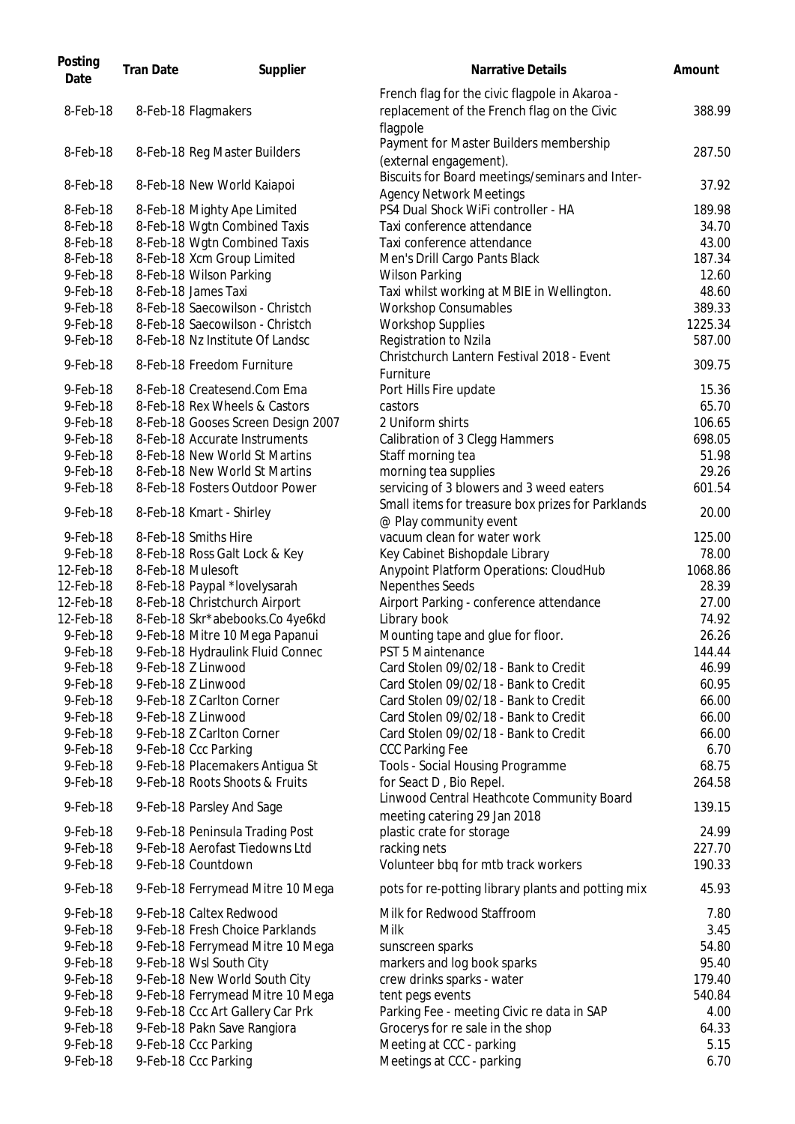| Posting<br>Date      | <b>Tran Date</b> | Supplier                                                           | <b>Narrative Details</b>                                                                                  | Amount          |
|----------------------|------------------|--------------------------------------------------------------------|-----------------------------------------------------------------------------------------------------------|-----------------|
| 8-Feb-18             |                  | 8-Feb-18 Flagmakers                                                | French flag for the civic flagpole in Akaroa -<br>replacement of the French flag on the Civic<br>flagpole | 388.99          |
| 8-Feb-18             |                  | 8-Feb-18 Reg Master Builders                                       | Payment for Master Builders membership<br>(external engagement).                                          | 287.50          |
| 8-Feb-18             |                  | 8-Feb-18 New World Kaiapoi                                         | Biscuits for Board meetings/seminars and Inter-<br><b>Agency Network Meetings</b>                         | 37.92           |
| 8-Feb-18             |                  | 8-Feb-18 Mighty Ape Limited                                        | PS4 Dual Shock WiFi controller - HA                                                                       | 189.98          |
| 8-Feb-18             |                  | 8-Feb-18 Wgtn Combined Taxis                                       | Taxi conference attendance                                                                                | 34.70           |
| 8-Feb-18             |                  | 8-Feb-18 Wgtn Combined Taxis                                       | Taxi conference attendance                                                                                | 43.00           |
| 8-Feb-18             |                  | 8-Feb-18 Xcm Group Limited                                         | Men's Drill Cargo Pants Black                                                                             | 187.34          |
| 9-Feb-18             |                  | 8-Feb-18 Wilson Parking                                            | <b>Wilson Parking</b>                                                                                     | 12.60           |
| 9-Feb-18             |                  | 8-Feb-18 James Taxi                                                | Taxi whilst working at MBIE in Wellington.                                                                | 48.60           |
| 9-Feb-18             |                  | 8-Feb-18 Saecowilson - Christch                                    | <b>Workshop Consumables</b>                                                                               | 389.33          |
| 9-Feb-18             |                  | 8-Feb-18 Saecowilson - Christch                                    | <b>Workshop Supplies</b>                                                                                  | 1225.34         |
| $9$ -Feb-18          |                  | 8-Feb-18 Nz Institute Of Landsc                                    | Registration to Nzila                                                                                     | 587.00          |
| 9-Feb-18             |                  | 8-Feb-18 Freedom Furniture                                         | Christchurch Lantern Festival 2018 - Event<br>Furniture                                                   | 309.75          |
| 9-Feb-18             |                  | 8-Feb-18 Createsend.Com Ema                                        | Port Hills Fire update                                                                                    | 15.36           |
| 9-Feb-18             |                  | 8-Feb-18 Rex Wheels & Castors                                      | castors                                                                                                   | 65.70           |
| 9-Feb-18             |                  | 8-Feb-18 Gooses Screen Design 2007                                 | 2 Uniform shirts                                                                                          | 106.65          |
| 9-Feb-18             |                  | 8-Feb-18 Accurate Instruments                                      | Calibration of 3 Clegg Hammers                                                                            | 698.05          |
| 9-Feb-18             |                  | 8-Feb-18 New World St Martins                                      | Staff morning tea                                                                                         | 51.98           |
| 9-Feb-18             |                  | 8-Feb-18 New World St Martins                                      | morning tea supplies                                                                                      | 29.26           |
| 9-Feb-18             |                  | 8-Feb-18 Fosters Outdoor Power                                     | servicing of 3 blowers and 3 weed eaters                                                                  | 601.54          |
| 9-Feb-18             |                  | 8-Feb-18 Kmart - Shirley                                           | Small items for treasure box prizes for Parklands<br>@ Play community event                               | 20.00           |
| 9-Feb-18             |                  | 8-Feb-18 Smiths Hire                                               | vacuum clean for water work                                                                               | 125.00          |
| 9-Feb-18             |                  | 8-Feb-18 Ross Galt Lock & Key                                      | Key Cabinet Bishopdale Library                                                                            | 78.00           |
| 12-Feb-18            |                  | 8-Feb-18 Mulesoft                                                  | Anypoint Platform Operations: CloudHub                                                                    | 1068.86         |
| 12-Feb-18            |                  | 8-Feb-18 Paypal *lovelysarah                                       | Nepenthes Seeds                                                                                           | 28.39           |
| 12-Feb-18            |                  | 8-Feb-18 Christchurch Airport                                      | Airport Parking - conference attendance                                                                   | 27.00           |
| 12-Feb-18            |                  | 8-Feb-18 Skr*abebooks.Co 4ye6kd                                    | Library book                                                                                              | 74.92           |
| 9-Feb-18<br>9-Feb-18 |                  | 9-Feb-18 Mitre 10 Mega Papanui<br>9-Feb-18 Hydraulink Fluid Connec | Mounting tape and glue for floor.<br>PST 5 Maintenance                                                    | 26.26<br>144.44 |
| 9-Feb-18             |                  | 9-Feb-18 Z Linwood                                                 | Card Stolen 09/02/18 - Bank to Credit                                                                     | 46.99           |
| 9-Feb-18             |                  | 9-Feb-18 Z Linwood                                                 | Card Stolen 09/02/18 - Bank to Credit                                                                     | 60.95           |
| 9-Feb-18             |                  | 9-Feb-18 Z Carlton Corner                                          | Card Stolen 09/02/18 - Bank to Credit                                                                     | 66.00           |
| $9$ -Feb-18          |                  | 9-Feb-18 Z Linwood                                                 | Card Stolen 09/02/18 - Bank to Credit                                                                     | 66.00           |
| 9-Feb-18             |                  | 9-Feb-18 Z Carlton Corner                                          | Card Stolen 09/02/18 - Bank to Credit                                                                     | 66.00           |
| 9-Feb-18             |                  | 9-Feb-18 Ccc Parking                                               | <b>CCC Parking Fee</b>                                                                                    | 6.70            |
| 9-Feb-18             |                  | 9-Feb-18 Placemakers Antigua St                                    | Tools - Social Housing Programme                                                                          | 68.75           |
| 9-Feb-18             |                  | 9-Feb-18 Roots Shoots & Fruits                                     | for Seact D, Bio Repel.                                                                                   | 264.58          |
| 9-Feb-18             |                  | 9-Feb-18 Parsley And Sage                                          | Linwood Central Heathcote Community Board<br>meeting catering 29 Jan 2018                                 | 139.15          |
| 9-Feb-18             |                  | 9-Feb-18 Peninsula Trading Post                                    | plastic crate for storage                                                                                 | 24.99           |
| 9-Feb-18             |                  | 9-Feb-18 Aerofast Tiedowns Ltd                                     | racking nets                                                                                              | 227.70          |
| 9-Feb-18             |                  | 9-Feb-18 Countdown                                                 | Volunteer bbq for mtb track workers                                                                       | 190.33          |
| 9-Feb-18             |                  | 9-Feb-18 Ferrymead Mitre 10 Mega                                   | pots for re-potting library plants and potting mix                                                        | 45.93           |
| 9-Feb-18             |                  | 9-Feb-18 Caltex Redwood                                            | Milk for Redwood Staffroom                                                                                | 7.80            |
| 9-Feb-18             |                  | 9-Feb-18 Fresh Choice Parklands                                    | <b>Milk</b>                                                                                               | 3.45            |
| 9-Feb-18             |                  | 9-Feb-18 Ferrymead Mitre 10 Mega                                   | sunscreen sparks                                                                                          | 54.80           |
| 9-Feb-18             |                  | 9-Feb-18 Wsl South City                                            | markers and log book sparks                                                                               | 95.40           |
| 9-Feb-18             |                  | 9-Feb-18 New World South City                                      | crew drinks sparks - water                                                                                | 179.40          |
| 9-Feb-18             |                  | 9-Feb-18 Ferrymead Mitre 10 Mega                                   | tent pegs events                                                                                          | 540.84          |
| 9-Feb-18             |                  | 9-Feb-18 Ccc Art Gallery Car Prk                                   | Parking Fee - meeting Civic re data in SAP                                                                | 4.00            |
| 9-Feb-18             |                  | 9-Feb-18 Pakn Save Rangiora                                        | Grocerys for re sale in the shop                                                                          | 64.33           |
| 9-Feb-18             |                  | 9-Feb-18 Ccc Parking                                               | Meeting at CCC - parking                                                                                  | 5.15            |
| 9-Feb-18             |                  | 9-Feb-18 Ccc Parking                                               | Meetings at CCC - parking                                                                                 | 6.70            |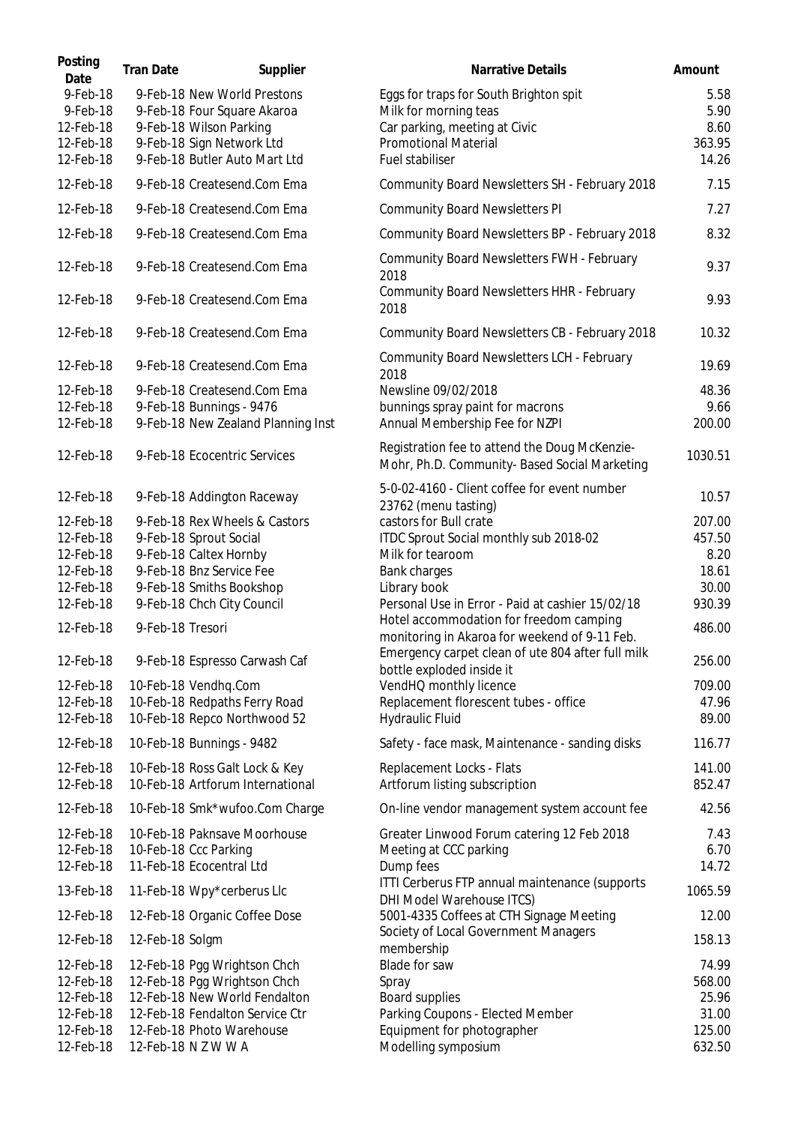| Posting<br>Date        | <b>Tran Date</b> | Supplier                                                           | <b>Narrative Details</b>                                                                                                                      | Amount           |
|------------------------|------------------|--------------------------------------------------------------------|-----------------------------------------------------------------------------------------------------------------------------------------------|------------------|
| 9-Feb-18<br>9-Feb-18   |                  | 9-Feb-18 New World Prestons<br>9-Feb-18 Four Square Akaroa         | Eggs for traps for South Brighton spit<br>Milk for morning teas                                                                               | 5.58<br>5.90     |
| 12-Feb-18              |                  | 9-Feb-18 Wilson Parking                                            | Car parking, meeting at Civic                                                                                                                 | 8.60             |
| 12-Feb-18              |                  | 9-Feb-18 Sign Network Ltd                                          | <b>Promotional Material</b>                                                                                                                   | 363.95           |
| 12-Feb-18              |                  | 9-Feb-18 Butler Auto Mart Ltd                                      | Fuel stabiliser                                                                                                                               | 14.26            |
| 12-Feb-18              |                  | 9-Feb-18 Createsend.Com Ema                                        | Community Board Newsletters SH - February 2018                                                                                                | 7.15             |
| 12-Feb-18              |                  | 9-Feb-18 Createsend.Com Ema                                        | <b>Community Board Newsletters PI</b>                                                                                                         | 7.27             |
| 12-Feb-18              |                  | 9-Feb-18 Createsend.Com Ema                                        | Community Board Newsletters BP - February 2018                                                                                                | 8.32             |
| 12-Feb-18              |                  | 9-Feb-18 Createsend.Com Ema                                        | Community Board Newsletters FWH - February<br>2018                                                                                            | 9.37             |
| 12-Feb-18              |                  | 9-Feb-18 Createsend.Com Ema                                        | Community Board Newsletters HHR - February<br>2018                                                                                            | 9.93             |
| 12-Feb-18              |                  | 9-Feb-18 Createsend.Com Ema                                        | Community Board Newsletters CB - February 2018                                                                                                | 10.32            |
| 12-Feb-18              |                  | 9-Feb-18 Createsend.Com Ema                                        | Community Board Newsletters LCH - February<br>2018                                                                                            | 19.69            |
| 12-Feb-18              |                  | 9-Feb-18 Createsend.Com Ema                                        | Newsline 09/02/2018                                                                                                                           | 48.36            |
| 12-Feb-18              |                  | 9-Feb-18 Bunnings - 9476                                           | bunnings spray paint for macrons                                                                                                              | 9.66             |
| 12-Feb-18              |                  | 9-Feb-18 New Zealand Planning Inst                                 | Annual Membership Fee for NZPI                                                                                                                | 200.00           |
| 12-Feb-18              |                  | 9-Feb-18 Ecocentric Services                                       | Registration fee to attend the Doug McKenzie-<br>Mohr, Ph.D. Community- Based Social Marketing                                                | 1030.51          |
| 12-Feb-18              |                  | 9-Feb-18 Addington Raceway                                         | 5-0-02-4160 - Client coffee for event number<br>23762 (menu tasting)                                                                          | 10.57            |
| 12-Feb-18              |                  | 9-Feb-18 Rex Wheels & Castors                                      | castors for Bull crate                                                                                                                        | 207.00           |
| 12-Feb-18              |                  | 9-Feb-18 Sprout Social                                             | ITDC Sprout Social monthly sub 2018-02                                                                                                        | 457.50           |
| 12-Feb-18              |                  | 9-Feb-18 Caltex Hornby                                             | Milk for tearoom                                                                                                                              | 8.20             |
| 12-Feb-18              |                  | 9-Feb-18 Bnz Service Fee                                           | Bank charges                                                                                                                                  | 18.61            |
| 12-Feb-18              |                  | 9-Feb-18 Smiths Bookshop                                           | Library book                                                                                                                                  | 30.00            |
| 12-Feb-18              |                  | 9-Feb-18 Chch City Council                                         | Personal Use in Error - Paid at cashier 15/02/18                                                                                              | 930.39           |
| 12-Feb-18              | 9-Feb-18 Tresori |                                                                    | Hotel accommodation for freedom camping<br>monitoring in Akaroa for weekend of 9-11 Feb.<br>Emergency carpet clean of ute 804 after full milk | 486.00           |
| 12-Feb-18              |                  | 9-Feb-18 Espresso Carwash Caf                                      | bottle exploded inside it                                                                                                                     | 256.00           |
| 12-Feb-18              |                  | 10-Feb-18 Vendhq.Com                                               | VendHQ monthly licence                                                                                                                        | 709.00           |
| 12-Feb-18              |                  | 10-Feb-18 Redpaths Ferry Road                                      | Replacement florescent tubes - office                                                                                                         | 47.96            |
| 12-Feb-18              |                  | 10-Feb-18 Repco Northwood 52                                       | Hydraulic Fluid                                                                                                                               | 89.00            |
| 12-Feb-18              |                  | 10-Feb-18 Bunnings - 9482                                          | Safety - face mask, Maintenance - sanding disks                                                                                               | 116.77           |
| 12-Feb-18<br>12-Feb-18 |                  | 10-Feb-18 Ross Galt Lock & Key<br>10-Feb-18 Artforum International | Replacement Locks - Flats<br>Artforum listing subscription                                                                                    | 141.00<br>852.47 |
| 12-Feb-18              |                  | 10-Feb-18 Smk*wufoo.Com Charge                                     | On-line vendor management system account fee                                                                                                  | 42.56            |
| 12-Feb-18              |                  | 10-Feb-18 Paknsave Moorhouse                                       | Greater Linwood Forum catering 12 Feb 2018                                                                                                    | 7.43             |
| 12-Feb-18              |                  | 10-Feb-18 Ccc Parking                                              | Meeting at CCC parking                                                                                                                        | 6.70             |
| 12-Feb-18              |                  | 11-Feb-18 Ecocentral Ltd                                           | Dump fees                                                                                                                                     | 14.72            |
| 13-Feb-18              |                  | 11-Feb-18 Wpy*cerberus Llc                                         | ITTI Cerberus FTP annual maintenance (supports<br>DHI Model Warehouse ITCS)                                                                   | 1065.59          |
| 12-Feb-18              |                  | 12-Feb-18 Organic Coffee Dose                                      | 5001-4335 Coffees at CTH Signage Meeting                                                                                                      | 12.00            |
| 12-Feb-18              | 12-Feb-18 Solgm  |                                                                    | Society of Local Government Managers<br>membership                                                                                            | 158.13           |
| 12-Feb-18              |                  | 12-Feb-18 Pgg Wrightson Chch                                       | Blade for saw                                                                                                                                 | 74.99            |
| 12-Feb-18              |                  | 12-Feb-18 Pgg Wrightson Chch                                       | Spray                                                                                                                                         | 568.00           |
| 12-Feb-18              |                  | 12-Feb-18 New World Fendalton                                      | Board supplies                                                                                                                                | 25.96            |
| 12-Feb-18              |                  | 12-Feb-18 Fendalton Service Ctr                                    | Parking Coupons - Elected Member                                                                                                              | 31.00            |
| 12-Feb-18              |                  | 12-Feb-18 Photo Warehouse                                          | Equipment for photographer                                                                                                                    | 125.00           |
| 12-Feb-18              |                  | 12-Feb-18 N Z W W A                                                | Modelling symposium                                                                                                                           | 632.50           |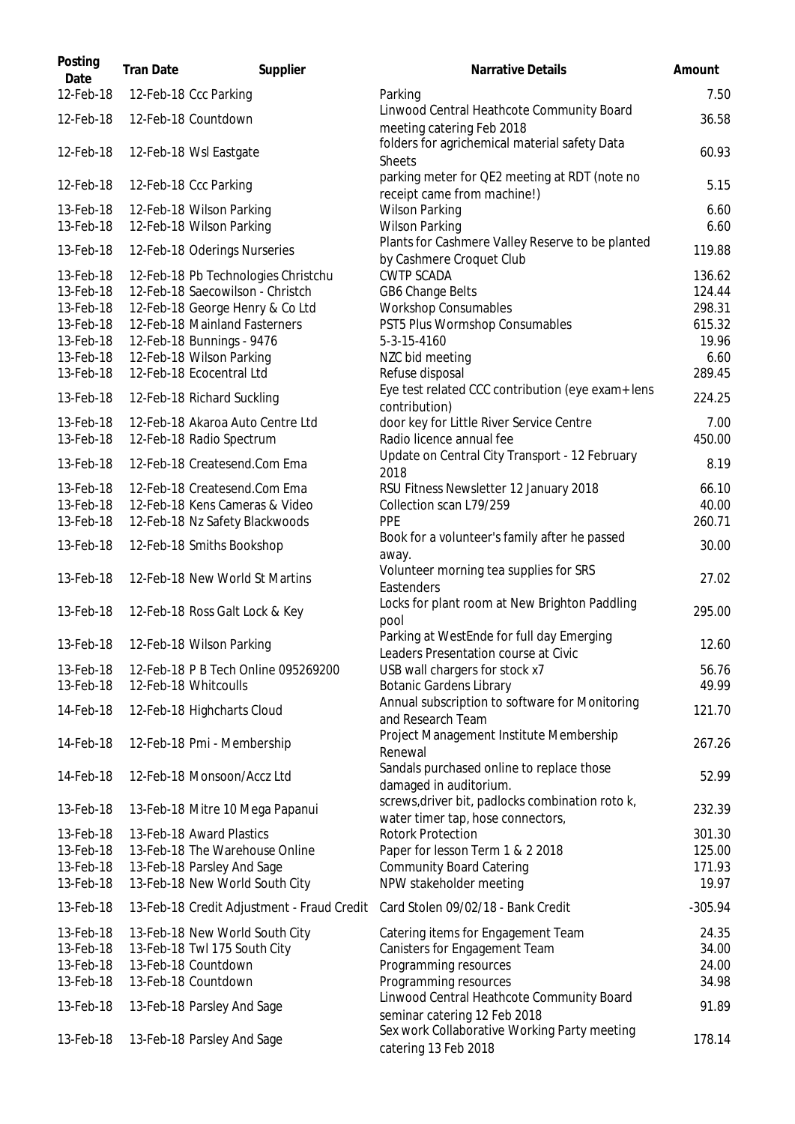| Posting<br>Date | <b>Tran Date</b> | Supplier                                   | <b>Narrative Details</b>                                                              | Amount    |
|-----------------|------------------|--------------------------------------------|---------------------------------------------------------------------------------------|-----------|
| 12-Feb-18       |                  | 12-Feb-18 Ccc Parking                      | Parking                                                                               | 7.50      |
| 12-Feb-18       |                  | 12-Feb-18 Countdown                        | Linwood Central Heathcote Community Board<br>meeting catering Feb 2018                | 36.58     |
| 12-Feb-18       |                  | 12-Feb-18 Wsl Eastgate                     | folders for agrichemical material safety Data<br><b>Sheets</b>                        | 60.93     |
| 12-Feb-18       |                  | 12-Feb-18 Ccc Parking                      | parking meter for QE2 meeting at RDT (note no<br>receipt came from machine!)          | 5.15      |
| 13-Feb-18       |                  | 12-Feb-18 Wilson Parking                   | <b>Wilson Parking</b>                                                                 | 6.60      |
| 13-Feb-18       |                  | 12-Feb-18 Wilson Parking                   | <b>Wilson Parking</b>                                                                 | 6.60      |
| 13-Feb-18       |                  | 12-Feb-18 Oderings Nurseries               | Plants for Cashmere Valley Reserve to be planted<br>by Cashmere Croquet Club          | 119.88    |
| 13-Feb-18       |                  | 12-Feb-18 Pb Technologies Christchu        | <b>CWTP SCADA</b>                                                                     | 136.62    |
| 13-Feb-18       |                  | 12-Feb-18 Saecowilson - Christch           | GB6 Change Belts                                                                      | 124.44    |
| 13-Feb-18       |                  | 12-Feb-18 George Henry & Co Ltd            | <b>Workshop Consumables</b>                                                           | 298.31    |
| 13-Feb-18       |                  | 12-Feb-18 Mainland Fasterners              | PST5 Plus Wormshop Consumables                                                        | 615.32    |
| 13-Feb-18       |                  | 12-Feb-18 Bunnings - 9476                  | 5-3-15-4160                                                                           | 19.96     |
| 13-Feb-18       |                  | 12-Feb-18 Wilson Parking                   | NZC bid meeting                                                                       | 6.60      |
| 13-Feb-18       |                  | 12-Feb-18 Ecocentral Ltd                   | Refuse disposal                                                                       | 289.45    |
| 13-Feb-18       |                  | 12-Feb-18 Richard Suckling                 | Eye test related CCC contribution (eye exam+ lens<br>contribution)                    | 224.25    |
| 13-Feb-18       |                  | 12-Feb-18 Akaroa Auto Centre Ltd           | door key for Little River Service Centre                                              | 7.00      |
| 13-Feb-18       |                  | 12-Feb-18 Radio Spectrum                   | Radio licence annual fee                                                              | 450.00    |
| 13-Feb-18       |                  | 12-Feb-18 Createsend.Com Ema               | Update on Central City Transport - 12 February<br>2018                                | 8.19      |
| 13-Feb-18       |                  | 12-Feb-18 Createsend.Com Ema               | RSU Fitness Newsletter 12 January 2018                                                | 66.10     |
| 13-Feb-18       |                  | 12-Feb-18 Kens Cameras & Video             | Collection scan L79/259                                                               | 40.00     |
| 13-Feb-18       |                  | 12-Feb-18 Nz Safety Blackwoods             | PPE                                                                                   | 260.71    |
| 13-Feb-18       |                  | 12-Feb-18 Smiths Bookshop                  | Book for a volunteer's family after he passed<br>away.                                | 30.00     |
| 13-Feb-18       |                  | 12-Feb-18 New World St Martins             | Volunteer morning tea supplies for SRS<br>Eastenders                                  | 27.02     |
| 13-Feb-18       |                  | 12-Feb-18 Ross Galt Lock & Key             | Locks for plant room at New Brighton Paddling<br>pool                                 | 295.00    |
|                 |                  | 13-Feb-18 12-Feb-18 Wilson Parking         | Parking at WestEnde for full day Emerging<br>Leaders Presentation course at Civic     | 12.60     |
| 13-Feb-18       |                  | 12-Feb-18 P B Tech Online 095269200        | USB wall chargers for stock x7                                                        | 56.76     |
| 13-Feb-18       |                  | 12-Feb-18 Whitcoulls                       | <b>Botanic Gardens Library</b>                                                        | 49.99     |
| 14-Feb-18       |                  | 12-Feb-18 Highcharts Cloud                 | Annual subscription to software for Monitoring<br>and Research Team                   | 121.70    |
| 14-Feb-18       |                  | 12-Feb-18 Pmi - Membership                 | Project Management Institute Membership<br>Renewal                                    | 267.26    |
| 14-Feb-18       |                  | 12-Feb-18 Monsoon/Accz Ltd                 | Sandals purchased online to replace those<br>damaged in auditorium.                   | 52.99     |
| 13-Feb-18       |                  | 13-Feb-18 Mitre 10 Mega Papanui            | screws, driver bit, padlocks combination roto k,<br>water timer tap, hose connectors, | 232.39    |
| 13-Feb-18       |                  | 13-Feb-18 Award Plastics                   | <b>Rotork Protection</b>                                                              | 301.30    |
| 13-Feb-18       |                  | 13-Feb-18 The Warehouse Online             | Paper for lesson Term 1 & 2 2018                                                      | 125.00    |
| 13-Feb-18       |                  | 13-Feb-18 Parsley And Sage                 | <b>Community Board Catering</b>                                                       | 171.93    |
| 13-Feb-18       |                  | 13-Feb-18 New World South City             | NPW stakeholder meeting                                                               | 19.97     |
| 13-Feb-18       |                  | 13-Feb-18 Credit Adjustment - Fraud Credit | Card Stolen 09/02/18 - Bank Credit                                                    | $-305.94$ |
| 13-Feb-18       |                  | 13-Feb-18 New World South City             | Catering items for Engagement Team                                                    | 24.35     |
| 13-Feb-18       |                  | 13-Feb-18 Twl 175 South City               | Canisters for Engagement Team                                                         | 34.00     |
| 13-Feb-18       |                  | 13-Feb-18 Countdown                        | Programming resources                                                                 | 24.00     |
| 13-Feb-18       |                  | 13-Feb-18 Countdown                        | Programming resources                                                                 | 34.98     |
| 13-Feb-18       |                  | 13-Feb-18 Parsley And Sage                 | Linwood Central Heathcote Community Board<br>seminar catering 12 Feb 2018             | 91.89     |
| 13-Feb-18       |                  | 13-Feb-18 Parsley And Sage                 | Sex work Collaborative Working Party meeting<br>catering 13 Feb 2018                  | 178.14    |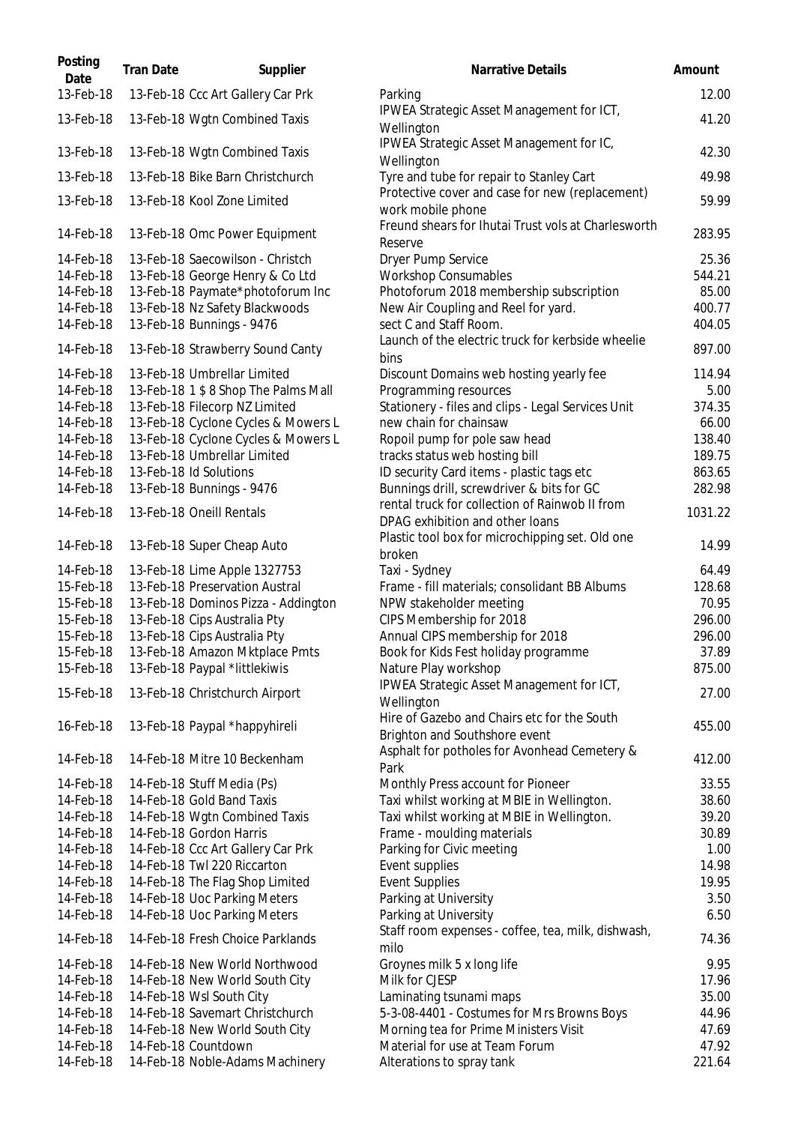| Posting<br>Date | <b>Tran Date</b> | Supplier                             | Narrative Details                                                                 | Amount  |
|-----------------|------------------|--------------------------------------|-----------------------------------------------------------------------------------|---------|
| 13-Feb-18       |                  | 13-Feb-18 Ccc Art Gallery Car Prk    | Parking                                                                           | 12.00   |
| 13-Feb-18       |                  | 13-Feb-18 Wgtn Combined Taxis        | IPWEA Strategic Asset Management for ICT,<br>Wellington                           | 41.20   |
| 13-Feb-18       |                  | 13-Feb-18 Wgtn Combined Taxis        | IPWEA Strategic Asset Management for IC,<br>Wellington                            | 42.30   |
| 13-Feb-18       |                  | 13-Feb-18 Bike Barn Christchurch     | Tyre and tube for repair to Stanley Cart                                          | 49.98   |
| 13-Feb-18       |                  | 13-Feb-18 Kool Zone Limited          | Protective cover and case for new (replacement)<br>work mobile phone              | 59.99   |
| 14-Feb-18       |                  | 13-Feb-18 Omc Power Equipment        | Freund shears for Ihutai Trust vols at Charlesworth<br>Reserve                    | 283.95  |
| 14-Feb-18       |                  | 13-Feb-18 Saecowilson - Christch     | Dryer Pump Service                                                                | 25.36   |
| 14-Feb-18       |                  | 13-Feb-18 George Henry & Co Ltd      | Workshop Consumables                                                              | 544.21  |
| 14-Feb-18       |                  | 13-Feb-18 Paymate*photoforum Inc     | Photoforum 2018 membership subscription                                           | 85.00   |
| 14-Feb-18       |                  | 13-Feb-18 Nz Safety Blackwoods       | New Air Coupling and Reel for yard.                                               | 400.77  |
| 14-Feb-18       |                  | 13-Feb-18 Bunnings - 9476            | sect C and Staff Room.                                                            | 404.05  |
| 14-Feb-18       |                  | 13-Feb-18 Strawberry Sound Canty     | Launch of the electric truck for kerbside wheelie<br>bins                         | 897.00  |
| 14-Feb-18       |                  | 13-Feb-18 Umbrellar Limited          | Discount Domains web hosting yearly fee                                           | 114.94  |
| 14-Feb-18       |                  | 13-Feb-18 1 \$ 8 Shop The Palms Mall | Programming resources                                                             | 5.00    |
| 14-Feb-18       |                  | 13-Feb-18 Filecorp NZ Limited        | Stationery - files and clips - Legal Services Unit                                | 374.35  |
| 14-Feb-18       |                  | 13-Feb-18 Cyclone Cycles & Mowers L  | new chain for chainsaw                                                            | 66.00   |
| 14-Feb-18       |                  | 13-Feb-18 Cyclone Cycles & Mowers L  | Ropoil pump for pole saw head                                                     | 138.40  |
| 14-Feb-18       |                  | 13-Feb-18 Umbrellar Limited          | tracks status web hosting bill                                                    | 189.75  |
| 14-Feb-18       |                  | 13-Feb-18 Id Solutions               | ID security Card items - plastic tags etc                                         | 863.65  |
| 14-Feb-18       |                  | 13-Feb-18 Bunnings - 9476            | Bunnings drill, screwdriver & bits for GC                                         | 282.98  |
| 14-Feb-18       |                  | 13-Feb-18 Oneill Rentals             | rental truck for collection of Rainwob II from<br>DPAG exhibition and other loans | 1031.22 |
| 14-Feb-18       |                  | 13-Feb-18 Super Cheap Auto           | Plastic tool box for microchipping set. Old one<br>broken                         | 14.99   |
| 14-Feb-18       |                  | 13-Feb-18 Lime Apple 1327753         | Taxi - Sydney                                                                     | 64.49   |
| 15-Feb-18       |                  | 13-Feb-18 Preservation Austral       | Frame - fill materials; consolidant BB Albums                                     | 128.68  |
| 15-Feb-18       |                  | 13-Feb-18 Dominos Pizza - Addington  | NPW stakeholder meeting                                                           | 70.95   |
| 15-Feb-18       |                  | 13-Feb-18 Cips Australia Pty         | CIPS Membership for 2018                                                          | 296.00  |
| 15-Feb-18       |                  | 13-Feb-18 Cips Australia Pty         | Annual CIPS membership for 2018                                                   | 296.00  |
| 15-Feb-18       |                  | 13-Feb-18 Amazon Mktplace Pmts       | Book for Kids Fest holiday programme                                              | 37.89   |
| 15-Feb-18       |                  | 13-Feb-18 Paypal *littlekiwis        | Nature Play workshop                                                              | 875.00  |
| 15-Feb-18       |                  | 13-Feb-18 Christchurch Airport       | IPWEA Strategic Asset Management for ICT,<br>Wellington                           | 27.00   |
|                 |                  |                                      | Hire of Gazebo and Chairs etc for the South                                       |         |
| 16-Feb-18       |                  | 13-Feb-18 Paypal *happyhireli        | Brighton and Southshore event                                                     | 455.00  |
| 14-Feb-18       |                  | 14-Feb-18 Mitre 10 Beckenham         | Asphalt for potholes for Avonhead Cemetery &<br>Park                              | 412.00  |
| 14-Feb-18       |                  | 14-Feb-18 Stuff Media (Ps)           | Monthly Press account for Pioneer                                                 | 33.55   |
| 14-Feb-18       |                  | 14-Feb-18 Gold Band Taxis            | Taxi whilst working at MBIE in Wellington.                                        | 38.60   |
| 14-Feb-18       |                  | 14-Feb-18 Wgtn Combined Taxis        | Taxi whilst working at MBIE in Wellington.                                        | 39.20   |
| 14-Feb-18       |                  | 14-Feb-18 Gordon Harris              | Frame - moulding materials                                                        | 30.89   |
| 14-Feb-18       |                  | 14-Feb-18 Ccc Art Gallery Car Prk    | Parking for Civic meeting                                                         | 1.00    |
| 14-Feb-18       |                  | 14-Feb-18 Twl 220 Riccarton          | Event supplies                                                                    | 14.98   |
| 14-Feb-18       |                  | 14-Feb-18 The Flag Shop Limited      | <b>Event Supplies</b>                                                             | 19.95   |
| 14-Feb-18       |                  | 14-Feb-18 Uoc Parking Meters         | Parking at University                                                             | 3.50    |
| 14-Feb-18       |                  | 14-Feb-18 Uoc Parking Meters         | Parking at University                                                             | 6.50    |
| 14-Feb-18       |                  | 14-Feb-18 Fresh Choice Parklands     | Staff room expenses - coffee, tea, milk, dishwash,<br>milo                        | 74.36   |
| 14-Feb-18       |                  | 14-Feb-18 New World Northwood        | Groynes milk 5 x long life                                                        | 9.95    |
| 14-Feb-18       |                  | 14-Feb-18 New World South City       | Milk for CJESP                                                                    | 17.96   |
| 14-Feb-18       |                  | 14-Feb-18 Wsl South City             | Laminating tsunami maps                                                           | 35.00   |
| 14-Feb-18       |                  | 14-Feb-18 Savemart Christchurch      | 5-3-08-4401 - Costumes for Mrs Browns Boys                                        | 44.96   |
| 14-Feb-18       |                  | 14-Feb-18 New World South City       | Morning tea for Prime Ministers Visit                                             | 47.69   |
| 14-Feb-18       |                  | 14-Feb-18 Countdown                  | Material for use at Team Forum                                                    | 47.92   |
| 14-Feb-18       |                  | 14-Feb-18 Noble-Adams Machinery      | Alterations to spray tank                                                         | 221.64  |
|                 |                  |                                      |                                                                                   |         |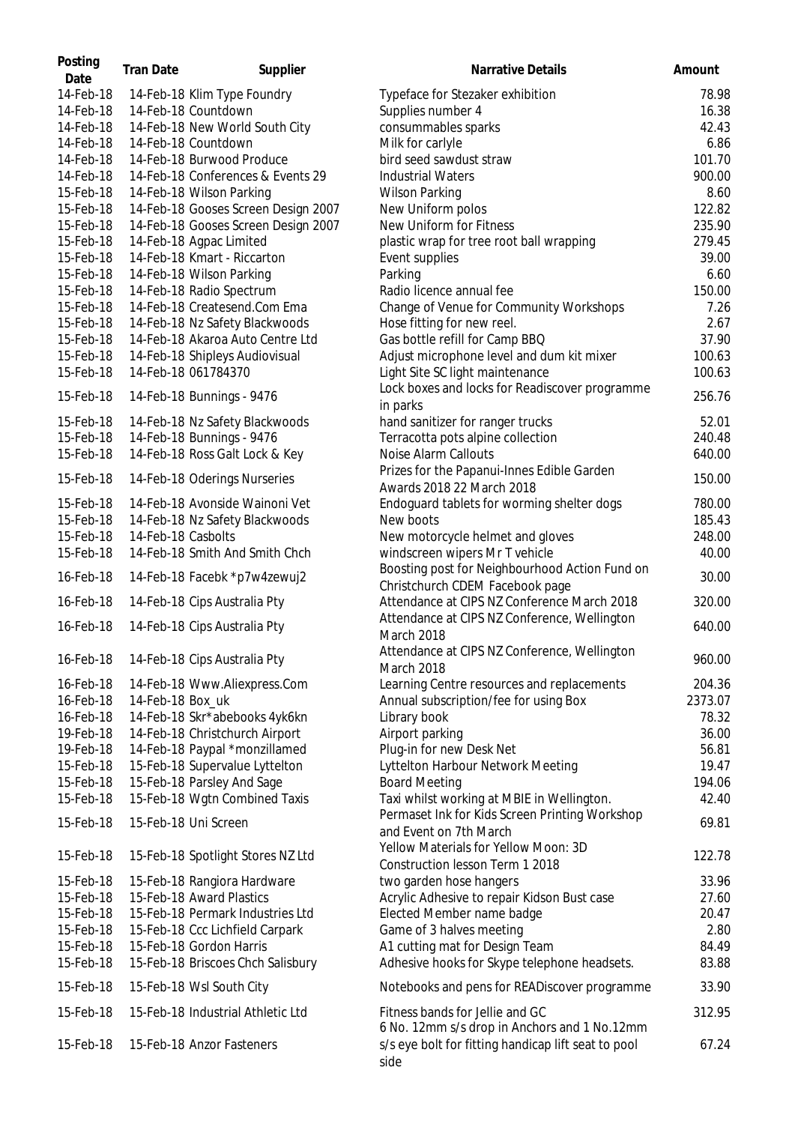| Posting<br>Date | <b>Tran Date</b>   | Supplier                            | Narrative Details                                                                                           | Amount  |
|-----------------|--------------------|-------------------------------------|-------------------------------------------------------------------------------------------------------------|---------|
| 14-Feb-18       |                    | 14-Feb-18 Klim Type Foundry         | Typeface for Stezaker exhibition                                                                            | 78.98   |
| 14-Feb-18       |                    | 14-Feb-18 Countdown                 | Supplies number 4                                                                                           | 16.38   |
| 14-Feb-18       |                    | 14-Feb-18 New World South City      | consummables sparks                                                                                         | 42.43   |
| 14-Feb-18       |                    | 14-Feb-18 Countdown                 | Milk for carlyle                                                                                            | 6.86    |
| 14-Feb-18       |                    | 14-Feb-18 Burwood Produce           | bird seed sawdust straw                                                                                     | 101.70  |
| 14-Feb-18       |                    | 14-Feb-18 Conferences & Events 29   | <b>Industrial Waters</b>                                                                                    | 900.00  |
| 15-Feb-18       |                    | 14-Feb-18 Wilson Parking            | <b>Wilson Parking</b>                                                                                       | 8.60    |
| 15-Feb-18       |                    | 14-Feb-18 Gooses Screen Design 2007 | New Uniform polos                                                                                           | 122.82  |
| 15-Feb-18       |                    | 14-Feb-18 Gooses Screen Design 2007 | New Uniform for Fitness                                                                                     | 235.90  |
| 15-Feb-18       |                    | 14-Feb-18 Agpac Limited             | plastic wrap for tree root ball wrapping                                                                    | 279.45  |
| 15-Feb-18       |                    | 14-Feb-18 Kmart - Riccarton         | Event supplies                                                                                              | 39.00   |
| 15-Feb-18       |                    | 14-Feb-18 Wilson Parking            | Parking                                                                                                     | 6.60    |
| 15-Feb-18       |                    | 14-Feb-18 Radio Spectrum            | Radio licence annual fee                                                                                    | 150.00  |
| 15-Feb-18       |                    | 14-Feb-18 Createsend.Com Ema        | Change of Venue for Community Workshops                                                                     | 7.26    |
| 15-Feb-18       |                    | 14-Feb-18 Nz Safety Blackwoods      | Hose fitting for new reel.                                                                                  | 2.67    |
| 15-Feb-18       |                    | 14-Feb-18 Akaroa Auto Centre Ltd    | Gas bottle refill for Camp BBQ                                                                              | 37.90   |
| 15-Feb-18       |                    | 14-Feb-18 Shipleys Audiovisual      | Adjust microphone level and dum kit mixer                                                                   | 100.63  |
| 15-Feb-18       |                    | 14-Feb-18 061784370                 | Light Site SC light maintenance                                                                             | 100.63  |
|                 |                    |                                     | Lock boxes and locks for Readiscover programme                                                              |         |
| 15-Feb-18       |                    | 14-Feb-18 Bunnings - 9476           | in parks                                                                                                    | 256.76  |
| 15-Feb-18       |                    | 14-Feb-18 Nz Safety Blackwoods      | hand sanitizer for ranger trucks                                                                            | 52.01   |
| 15-Feb-18       |                    | 14-Feb-18 Bunnings - 9476           | Terracotta pots alpine collection                                                                           | 240.48  |
| 15-Feb-18       |                    | 14-Feb-18 Ross Galt Lock & Key      | Noise Alarm Callouts                                                                                        | 640.00  |
|                 |                    |                                     | Prizes for the Papanui-Innes Edible Garden                                                                  |         |
| 15-Feb-18       |                    | 14-Feb-18 Oderings Nurseries        |                                                                                                             | 150.00  |
|                 |                    |                                     | Awards 2018 22 March 2018                                                                                   |         |
| 15-Feb-18       |                    | 14-Feb-18 Avonside Wainoni Vet      | Endoguard tablets for worming shelter dogs                                                                  | 780.00  |
| 15-Feb-18       |                    | 14-Feb-18 Nz Safety Blackwoods      | New boots                                                                                                   | 185.43  |
| 15-Feb-18       | 14-Feb-18 Casbolts |                                     | New motorcycle helmet and gloves                                                                            | 248.00  |
| 15-Feb-18       |                    | 14-Feb-18 Smith And Smith Chch      | windscreen wipers Mr T vehicle                                                                              | 40.00   |
| 16-Feb-18       |                    | 14-Feb-18 Facebk *p7w4zewuj2        | Boosting post for Neighbourhood Action Fund on<br>Christchurch CDEM Facebook page                           | 30.00   |
| 16-Feb-18       |                    | 14-Feb-18 Cips Australia Pty        | Attendance at CIPS NZ Conference March 2018                                                                 | 320.00  |
| 16-Feb-18       |                    | 14-Feb-18 Cips Australia Pty        | Attendance at CIPS NZ Conference, Wellington                                                                | 640.00  |
|                 |                    |                                     | March 2018                                                                                                  |         |
| 16-Feb-18       |                    | 14-Feb-18 Cips Australia Pty        | Attendance at CIPS NZ Conference, Wellington<br>March 2018                                                  | 960.00  |
| 16-Feb-18       |                    | 14-Feb-18 Www.Aliexpress.Com        | Learning Centre resources and replacements                                                                  | 204.36  |
| 16-Feb-18       | 14-Feb-18 Box_uk   |                                     | Annual subscription/fee for using Box                                                                       | 2373.07 |
| 16-Feb-18       |                    | 14-Feb-18 Skr*abebooks 4yk6kn       | Library book                                                                                                | 78.32   |
| 19-Feb-18       |                    | 14-Feb-18 Christchurch Airport      | Airport parking                                                                                             | 36.00   |
| 19-Feb-18       |                    | 14-Feb-18 Paypal *monzillamed       | Plug-in for new Desk Net                                                                                    | 56.81   |
| 15-Feb-18       |                    | 15-Feb-18 Supervalue Lyttelton      | Lyttelton Harbour Network Meeting                                                                           | 19.47   |
| 15-Feb-18       |                    | 15-Feb-18 Parsley And Sage          | <b>Board Meeting</b>                                                                                        | 194.06  |
| 15-Feb-18       |                    | 15-Feb-18 Wgtn Combined Taxis       | Taxi whilst working at MBIE in Wellington.                                                                  | 42.40   |
|                 |                    |                                     | Permaset Ink for Kids Screen Printing Workshop                                                              |         |
| 15-Feb-18       |                    | 15-Feb-18 Uni Screen                | and Event on 7th March                                                                                      | 69.81   |
|                 |                    |                                     | Yellow Materials for Yellow Moon: 3D                                                                        |         |
| 15-Feb-18       |                    | 15-Feb-18 Spotlight Stores NZ Ltd   | Construction lesson Term 1 2018                                                                             | 122.78  |
| 15-Feb-18       |                    | 15-Feb-18 Rangiora Hardware         | two garden hose hangers                                                                                     | 33.96   |
| 15-Feb-18       |                    | 15-Feb-18 Award Plastics            | Acrylic Adhesive to repair Kidson Bust case                                                                 | 27.60   |
| 15-Feb-18       |                    | 15-Feb-18 Permark Industries Ltd    | Elected Member name badge                                                                                   | 20.47   |
| 15-Feb-18       |                    | 15-Feb-18 Ccc Lichfield Carpark     | Game of 3 halves meeting                                                                                    | 2.80    |
| 15-Feb-18       |                    | 15-Feb-18 Gordon Harris             | A1 cutting mat for Design Team                                                                              | 84.49   |
| 15-Feb-18       |                    | 15-Feb-18 Briscoes Chch Salisbury   | Adhesive hooks for Skype telephone headsets.                                                                | 83.88   |
| 15-Feb-18       |                    | 15-Feb-18 Wsl South City            | Notebooks and pens for READiscover programme                                                                | 33.90   |
| 15-Feb-18       |                    | 15-Feb-18 Industrial Athletic Ltd   | Fitness bands for Jellie and GC                                                                             | 312.95  |
| 15-Feb-18       |                    | 15-Feb-18 Anzor Fasteners           | 6 No. 12mm s/s drop in Anchors and 1 No.12mm<br>s/s eye bolt for fitting handicap lift seat to pool<br>side | 67.24   |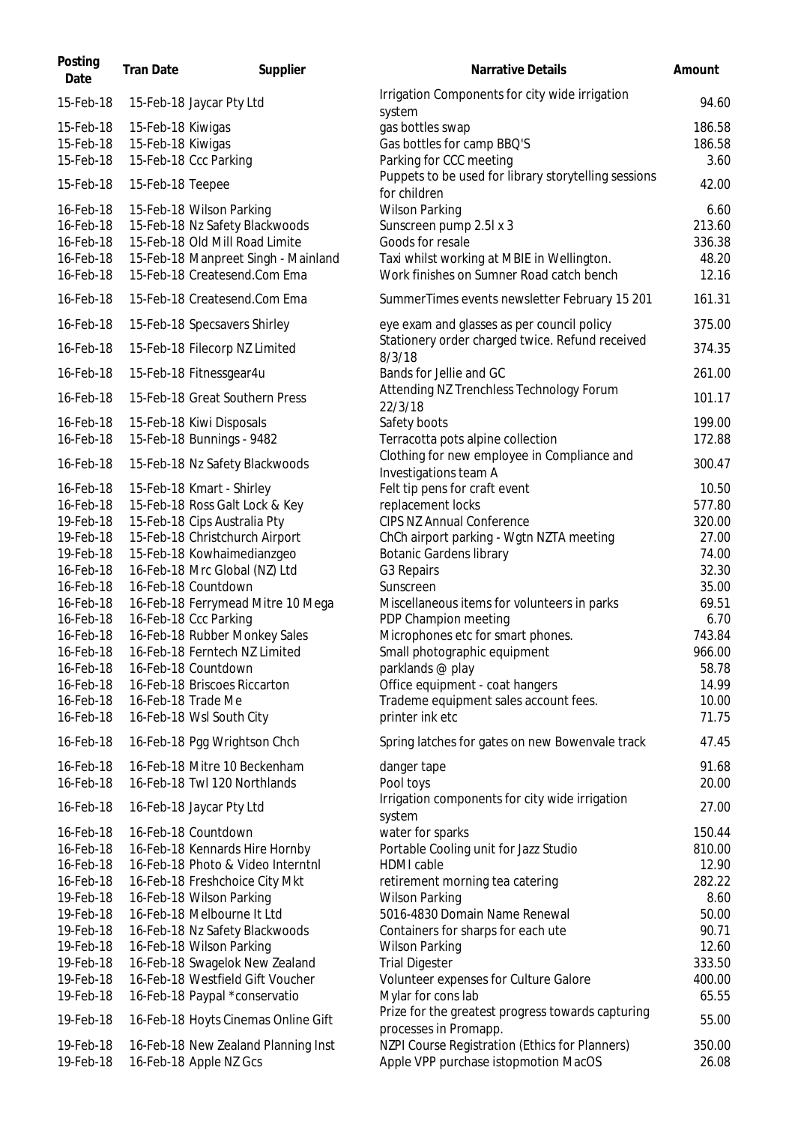| Posting<br>Date        | <b>Tran Date</b>  | Supplier                                                           | Narrative Details                                                                      | Amount          |
|------------------------|-------------------|--------------------------------------------------------------------|----------------------------------------------------------------------------------------|-----------------|
| 15-Feb-18              |                   | 15-Feb-18 Jaycar Pty Ltd                                           | Irrigation Components for city wide irrigation<br>system                               | 94.60           |
| 15-Feb-18              | 15-Feb-18 Kiwigas |                                                                    | gas bottles swap                                                                       | 186.58          |
| 15-Feb-18              | 15-Feb-18 Kiwigas |                                                                    | Gas bottles for camp BBQ'S                                                             | 186.58          |
| 15-Feb-18              |                   | 15-Feb-18 Ccc Parking                                              | Parking for CCC meeting                                                                | 3.60            |
| 15-Feb-18              | 15-Feb-18 Teepee  |                                                                    | Puppets to be used for library storytelling sessions<br>for children                   | 42.00           |
| 16-Feb-18              |                   | 15-Feb-18 Wilson Parking                                           | <b>Wilson Parking</b>                                                                  | 6.60            |
| 16-Feb-18              |                   | 15-Feb-18 Nz Safety Blackwoods                                     | Sunscreen pump 2.5l x 3                                                                | 213.60          |
| 16-Feb-18              |                   | 15-Feb-18 Old Mill Road Limite                                     | Goods for resale                                                                       | 336.38          |
| 16-Feb-18              |                   | 15-Feb-18 Manpreet Singh - Mainland                                | Taxi whilst working at MBIE in Wellington.                                             | 48.20           |
| 16-Feb-18              |                   | 15-Feb-18 Createsend.Com Ema                                       | Work finishes on Sumner Road catch bench                                               | 12.16           |
| 16-Feb-18              |                   | 15-Feb-18 Createsend.Com Ema                                       | SummerTimes events newsletter February 15 201                                          | 161.31          |
| 16-Feb-18              |                   | 15-Feb-18 Specsavers Shirley                                       | eye exam and glasses as per council policy                                             | 375.00          |
| 16-Feb-18              |                   | 15-Feb-18 Filecorp NZ Limited                                      | Stationery order charged twice. Refund received<br>8/3/18                              | 374.35          |
| 16-Feb-18              |                   | 15-Feb-18 Fitnessgear4u                                            | Bands for Jellie and GC                                                                | 261.00          |
| 16-Feb-18              |                   | 15-Feb-18 Great Southern Press                                     | Attending NZ Trenchless Technology Forum<br>22/3/18                                    | 101.17          |
| 16-Feb-18              |                   | 15-Feb-18 Kiwi Disposals                                           | Safety boots                                                                           | 199.00          |
| 16-Feb-18              |                   | 15-Feb-18 Bunnings - 9482                                          | Terracotta pots alpine collection                                                      | 172.88          |
| 16-Feb-18              |                   |                                                                    | Clothing for new employee in Compliance and                                            | 300.47          |
|                        |                   | 15-Feb-18 Nz Safety Blackwoods                                     | Investigations team A                                                                  |                 |
| 16-Feb-18              |                   | 15-Feb-18 Kmart - Shirley                                          | Felt tip pens for craft event                                                          | 10.50           |
| 16-Feb-18              |                   | 15-Feb-18 Ross Galt Lock & Key                                     | replacement locks                                                                      | 577.80          |
| 19-Feb-18              |                   | 15-Feb-18 Cips Australia Pty                                       | CIPS NZ Annual Conference                                                              | 320.00          |
| 19-Feb-18              |                   | 15-Feb-18 Christchurch Airport                                     | ChCh airport parking - Wgtn NZTA meeting                                               | 27.00           |
| 19-Feb-18              |                   | 15-Feb-18 Kowhaimedianzgeo                                         | <b>Botanic Gardens library</b>                                                         | 74.00           |
| 16-Feb-18              |                   | 16-Feb-18 Mrc Global (NZ) Ltd                                      | G3 Repairs                                                                             | 32.30           |
| 16-Feb-18              |                   | 16-Feb-18 Countdown                                                | Sunscreen                                                                              | 35.00           |
| 16-Feb-18              |                   | 16-Feb-18 Ferrymead Mitre 10 Mega                                  | Miscellaneous items for volunteers in parks                                            | 69.51           |
| 16-Feb-18<br>16-Feb-18 |                   | 16-Feb-18 Ccc Parking<br>16-Feb-18 Rubber Monkey Sales             | PDP Champion meeting<br>Microphones etc for smart phones.                              | 6.70<br>743.84  |
| 16-Feb-18              |                   | 16-Feb-18 Ferntech NZ Limited                                      | Small photographic equipment                                                           | 966.00          |
| 16-Feb-18              |                   | 16-Feb-18 Countdown                                                | parklands @ play                                                                       | 58.78           |
| 16-Feb-18              |                   | 16-Feb-18 Briscoes Riccarton                                       | Office equipment - coat hangers                                                        | 14.99           |
| 16-Feb-18              |                   | 16-Feb-18 Trade Me                                                 | Trademe equipment sales account fees.                                                  | 10.00           |
| 16-Feb-18              |                   | 16-Feb-18 Wsl South City                                           | printer ink etc                                                                        | 71.75           |
| 16-Feb-18              |                   | 16-Feb-18 Pgg Wrightson Chch                                       | Spring latches for gates on new Bowenvale track                                        | 47.45           |
| 16-Feb-18              |                   | 16-Feb-18 Mitre 10 Beckenham                                       | danger tape                                                                            | 91.68           |
| 16-Feb-18              |                   | 16-Feb-18 Twl 120 Northlands                                       | Pool toys<br>Irrigation components for city wide irrigation                            | 20.00           |
| 16-Feb-18              |                   | 16-Feb-18 Jaycar Pty Ltd                                           | system                                                                                 | 27.00           |
| 16-Feb-18              |                   | 16-Feb-18 Countdown                                                | water for sparks                                                                       | 150.44          |
| 16-Feb-18              |                   | 16-Feb-18 Kennards Hire Hornby                                     | Portable Cooling unit for Jazz Studio                                                  | 810.00          |
| 16-Feb-18              |                   | 16-Feb-18 Photo & Video Interntnl                                  | <b>HDMI</b> cable                                                                      | 12.90           |
| 16-Feb-18              |                   | 16-Feb-18 Freshchoice City Mkt                                     | retirement morning tea catering                                                        | 282.22          |
| 19-Feb-18              |                   | 16-Feb-18 Wilson Parking                                           | <b>Wilson Parking</b>                                                                  | 8.60            |
| 19-Feb-18              |                   | 16-Feb-18 Melbourne It Ltd                                         | 5016-4830 Domain Name Renewal                                                          | 50.00           |
| 19-Feb-18              |                   | 16-Feb-18 Nz Safety Blackwoods                                     | Containers for sharps for each ute                                                     | 90.71           |
| 19-Feb-18<br>19-Feb-18 |                   | 16-Feb-18 Wilson Parking                                           | <b>Wilson Parking</b><br><b>Trial Digester</b>                                         | 12.60<br>333.50 |
| 19-Feb-18              |                   | 16-Feb-18 Swagelok New Zealand<br>16-Feb-18 Westfield Gift Voucher | Volunteer expenses for Culture Galore                                                  | 400.00          |
| 19-Feb-18              |                   | 16-Feb-18 Paypal *conservatio                                      | Mylar for cons lab                                                                     | 65.55           |
| 19-Feb-18              |                   | 16-Feb-18 Hoyts Cinemas Online Gift                                | Prize for the greatest progress towards capturing                                      | 55.00           |
|                        |                   |                                                                    | processes in Promapp.                                                                  |                 |
| 19-Feb-18<br>19-Feb-18 |                   | 16-Feb-18 New Zealand Planning Inst<br>16-Feb-18 Apple NZ Gcs      | NZPI Course Registration (Ethics for Planners)<br>Apple VPP purchase istopmotion MacOS | 350.00<br>26.08 |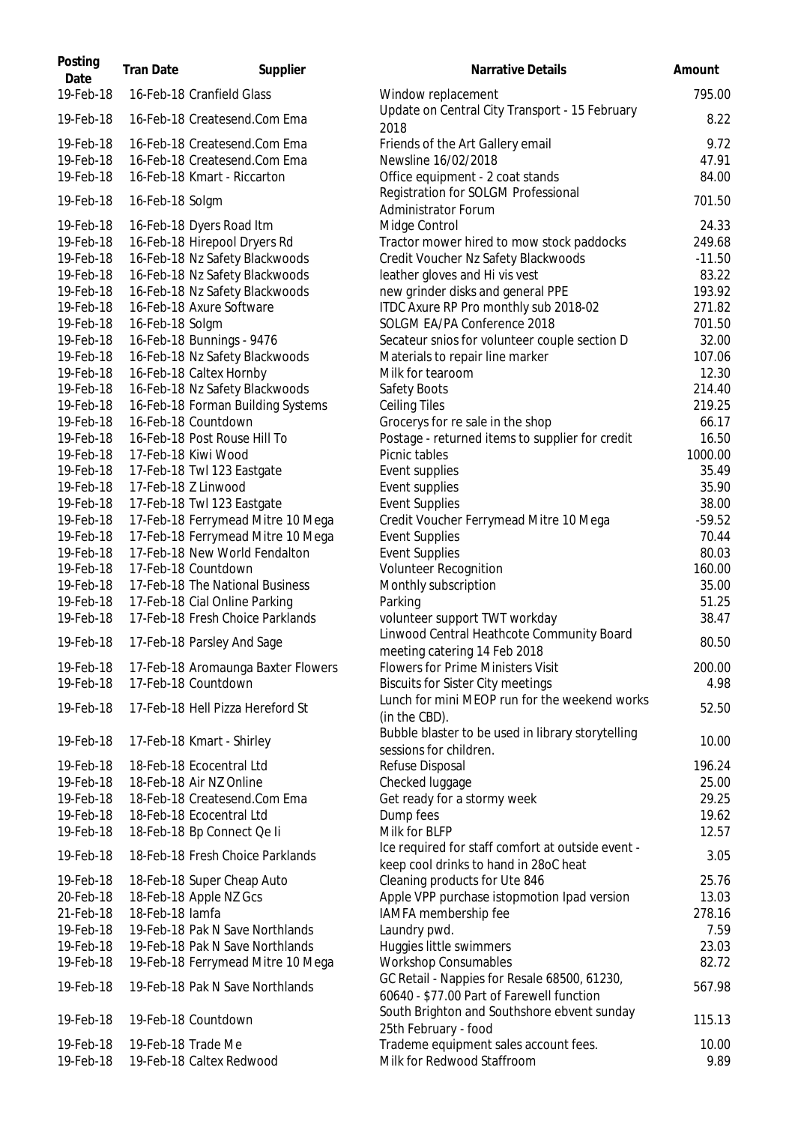| Posting<br>Date | <b>Tran Date</b> | Supplier                           | Narrative Details                                                                          | Amount   |
|-----------------|------------------|------------------------------------|--------------------------------------------------------------------------------------------|----------|
| 19-Feb-18       |                  | 16-Feb-18 Cranfield Glass          | Window replacement                                                                         | 795.00   |
| 19-Feb-18       |                  | 16-Feb-18 Createsend.Com Ema       | Update on Central City Transport - 15 February<br>2018                                     | 8.22     |
| 19-Feb-18       |                  | 16-Feb-18 Createsend.Com Ema       | Friends of the Art Gallery email                                                           | 9.72     |
| 19-Feb-18       |                  | 16-Feb-18 Createsend.Com Ema       | Newsline 16/02/2018                                                                        | 47.91    |
| 19-Feb-18       |                  | 16-Feb-18 Kmart - Riccarton        | Office equipment - 2 coat stands                                                           | 84.00    |
| 19-Feb-18       | 16-Feb-18 Solgm  |                                    | Registration for SOLGM Professional<br><b>Administrator Forum</b>                          | 701.50   |
| 19-Feb-18       |                  | 16-Feb-18 Dyers Road Itm           | Midge Control                                                                              | 24.33    |
| 19-Feb-18       |                  | 16-Feb-18 Hirepool Dryers Rd       | Tractor mower hired to mow stock paddocks                                                  | 249.68   |
| 19-Feb-18       |                  | 16-Feb-18 Nz Safety Blackwoods     | Credit Voucher Nz Safety Blackwoods                                                        | $-11.50$ |
| 19-Feb-18       |                  | 16-Feb-18 Nz Safety Blackwoods     | leather gloves and Hi vis vest                                                             | 83.22    |
| 19-Feb-18       |                  | 16-Feb-18 Nz Safety Blackwoods     | new grinder disks and general PPE                                                          | 193.92   |
| 19-Feb-18       |                  | 16-Feb-18 Axure Software           | ITDC Axure RP Pro monthly sub 2018-02                                                      | 271.82   |
| 19-Feb-18       | 16-Feb-18 Solgm  |                                    | SOLGM EA/PA Conference 2018                                                                | 701.50   |
| 19-Feb-18       |                  | 16-Feb-18 Bunnings - 9476          | Secateur snios for volunteer couple section D                                              | 32.00    |
| 19-Feb-18       |                  | 16-Feb-18 Nz Safety Blackwoods     | Materials to repair line marker                                                            | 107.06   |
| 19-Feb-18       |                  | 16-Feb-18 Caltex Hornby            | Milk for tearoom                                                                           | 12.30    |
| 19-Feb-18       |                  | 16-Feb-18 Nz Safety Blackwoods     | Safety Boots                                                                               | 214.40   |
| 19-Feb-18       |                  | 16-Feb-18 Forman Building Systems  | <b>Ceiling Tiles</b>                                                                       | 219.25   |
| 19-Feb-18       |                  | 16-Feb-18 Countdown                | Grocerys for re sale in the shop                                                           | 66.17    |
| 19-Feb-18       |                  | 16-Feb-18 Post Rouse Hill To       | Postage - returned items to supplier for credit                                            | 16.50    |
| 19-Feb-18       |                  | 17-Feb-18 Kiwi Wood                | Picnic tables                                                                              | 1000.00  |
| 19-Feb-18       |                  | 17-Feb-18 Twl 123 Eastgate         | Event supplies                                                                             | 35.49    |
| 19-Feb-18       |                  | 17-Feb-18 Z Linwood                | Event supplies                                                                             | 35.90    |
| 19-Feb-18       |                  | 17-Feb-18 Twl 123 Eastgate         | <b>Event Supplies</b>                                                                      | 38.00    |
| 19-Feb-18       |                  | 17-Feb-18 Ferrymead Mitre 10 Mega  | Credit Voucher Ferrymead Mitre 10 Mega                                                     | $-59.52$ |
| 19-Feb-18       |                  | 17-Feb-18 Ferrymead Mitre 10 Mega  | <b>Event Supplies</b>                                                                      | 70.44    |
| 19-Feb-18       |                  | 17-Feb-18 New World Fendalton      | <b>Event Supplies</b>                                                                      | 80.03    |
| 19-Feb-18       |                  | 17-Feb-18 Countdown                | <b>Volunteer Recognition</b>                                                               | 160.00   |
| 19-Feb-18       |                  | 17-Feb-18 The National Business    | Monthly subscription                                                                       | 35.00    |
| 19-Feb-18       |                  | 17-Feb-18 Cial Online Parking      | Parking                                                                                    | 51.25    |
| 19-Feb-18       |                  | 17-Feb-18 Fresh Choice Parklands   | volunteer support TWT workday                                                              | 38.47    |
| 19-Feb-18       |                  |                                    | Linwood Central Heathcote Community Board                                                  | 80.50    |
|                 |                  | 17-Feb-18 Parsley And Sage         | meeting catering 14 Feb 2018                                                               |          |
| 19-Feb-18       |                  | 17-Feb-18 Aromaunga Baxter Flowers | <b>Flowers for Prime Ministers Visit</b>                                                   | 200.00   |
| 19-Feb-18       |                  | 17-Feb-18 Countdown                | <b>Biscuits for Sister City meetings</b>                                                   | 4.98     |
| 19-Feb-18       |                  | 17-Feb-18 Hell Pizza Hereford St   | Lunch for mini MEOP run for the weekend works<br>(in the CBD).                             | 52.50    |
|                 |                  |                                    | Bubble blaster to be used in library storytelling                                          |          |
| 19-Feb-18       |                  | 17-Feb-18 Kmart - Shirley          | sessions for children.                                                                     | 10.00    |
| 19-Feb-18       |                  | 18-Feb-18 Ecocentral Ltd           | Refuse Disposal                                                                            | 196.24   |
| 19-Feb-18       |                  | 18-Feb-18 Air NZ Online            | Checked luggage                                                                            | 25.00    |
| 19-Feb-18       |                  | 18-Feb-18 Createsend.Com Ema       | Get ready for a stormy week                                                                | 29.25    |
| 19-Feb-18       |                  | 18-Feb-18 Ecocentral Ltd           | Dump fees                                                                                  | 19.62    |
| 19-Feb-18       |                  | 18-Feb-18 Bp Connect Qe li         | Milk for BLFP                                                                              | 12.57    |
| 19-Feb-18       |                  | 18-Feb-18 Fresh Choice Parklands   | Ice required for staff comfort at outside event -<br>keep cool drinks to hand in 28oC heat | 3.05     |
| 19-Feb-18       |                  | 18-Feb-18 Super Cheap Auto         | Cleaning products for Ute 846                                                              | 25.76    |
| 20-Feb-18       |                  | 18-Feb-18 Apple NZ Gcs             | Apple VPP purchase istopmotion Ipad version                                                | 13.03    |
| 21-Feb-18       | 18-Feb-18 lamfa  |                                    | IAMFA membership fee                                                                       | 278.16   |
| 19-Feb-18       |                  | 19-Feb-18 Pak N Save Northlands    | Laundry pwd.                                                                               | 7.59     |
| 19-Feb-18       |                  | 19-Feb-18 Pak N Save Northlands    | Huggies little swimmers                                                                    | 23.03    |
| 19-Feb-18       |                  | 19-Feb-18 Ferrymead Mitre 10 Mega  | <b>Workshop Consumables</b>                                                                | 82.72    |
| 19-Feb-18       |                  | 19-Feb-18 Pak N Save Northlands    | GC Retail - Nappies for Resale 68500, 61230,<br>60640 - \$77.00 Part of Farewell function  | 567.98   |
| 19-Feb-18       |                  | 19-Feb-18 Countdown                | South Brighton and Southshore ebvent sunday                                                | 115.13   |
| 19-Feb-18       |                  | 19-Feb-18 Trade Me                 | 25th February - food<br>Trademe equipment sales account fees.                              | 10.00    |
| 19-Feb-18       |                  | 19-Feb-18 Caltex Redwood           | Milk for Redwood Staffroom                                                                 | 9.89     |
|                 |                  |                                    |                                                                                            |          |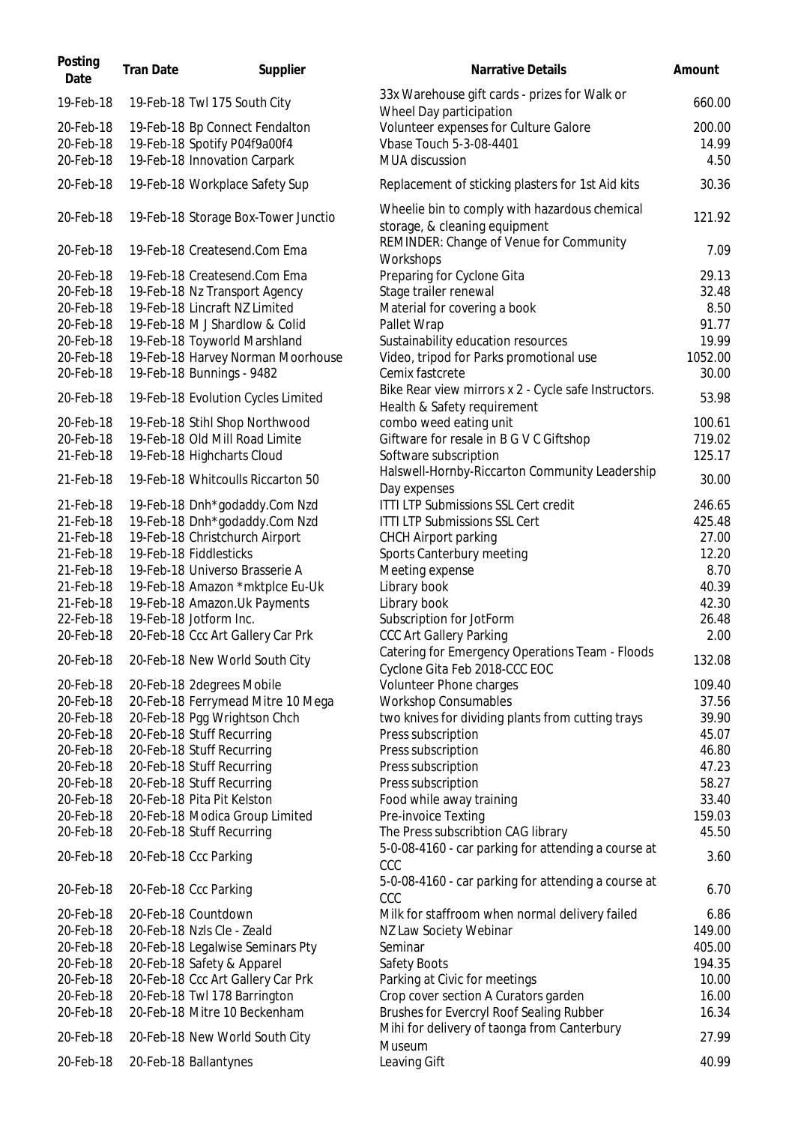| Posting<br>Date | <b>Tran Date</b> | Supplier                            | <b>Narrative Details</b>                                                         | Amount  |
|-----------------|------------------|-------------------------------------|----------------------------------------------------------------------------------|---------|
| 19-Feb-18       |                  | 19-Feb-18 Twl 175 South City        | 33x Warehouse gift cards - prizes for Walk or<br>Wheel Day participation         | 660.00  |
| 20-Feb-18       |                  | 19-Feb-18 Bp Connect Fendalton      | Volunteer expenses for Culture Galore                                            | 200.00  |
| 20-Feb-18       |                  | 19-Feb-18 Spotify P04f9a00f4        | Vbase Touch 5-3-08-4401                                                          | 14.99   |
| 20-Feb-18       |                  | 19-Feb-18 Innovation Carpark        | MUA discussion                                                                   | 4.50    |
| 20-Feb-18       |                  | 19-Feb-18 Workplace Safety Sup      | Replacement of sticking plasters for 1st Aid kits                                | 30.36   |
| 20-Feb-18       |                  | 19-Feb-18 Storage Box-Tower Junctio | Wheelie bin to comply with hazardous chemical<br>storage, & cleaning equipment   | 121.92  |
| 20-Feb-18       |                  | 19-Feb-18 Createsend.Com Ema        | REMINDER: Change of Venue for Community<br>Workshops                             | 7.09    |
| 20-Feb-18       |                  | 19-Feb-18 Createsend.Com Ema        | Preparing for Cyclone Gita                                                       | 29.13   |
| 20-Feb-18       |                  | 19-Feb-18 Nz Transport Agency       | Stage trailer renewal                                                            | 32.48   |
| 20-Feb-18       |                  | 19-Feb-18 Lincraft NZ Limited       | Material for covering a book                                                     | 8.50    |
| 20-Feb-18       |                  | 19-Feb-18 M J Shardlow & Colid      | Pallet Wrap                                                                      | 91.77   |
| 20-Feb-18       |                  | 19-Feb-18 Toyworld Marshland        | Sustainability education resources                                               | 19.99   |
| 20-Feb-18       |                  | 19-Feb-18 Harvey Norman Moorhouse   | Video, tripod for Parks promotional use                                          | 1052.00 |
| 20-Feb-18       |                  | 19-Feb-18 Bunnings - 9482           | Cemix fastcrete                                                                  | 30.00   |
| 20-Feb-18       |                  | 19-Feb-18 Evolution Cycles Limited  | Bike Rear view mirrors x 2 - Cycle safe Instructors.                             | 53.98   |
|                 |                  |                                     | Health & Safety requirement                                                      |         |
| 20-Feb-18       |                  | 19-Feb-18 Stihl Shop Northwood      | combo weed eating unit                                                           | 100.61  |
| 20-Feb-18       |                  | 19-Feb-18 Old Mill Road Limite      | Giftware for resale in B G V C Giftshop                                          | 719.02  |
| 21-Feb-18       |                  | 19-Feb-18 Highcharts Cloud          | Software subscription                                                            | 125.17  |
| 21-Feb-18       |                  | 19-Feb-18 Whitcoulls Riccarton 50   | Halswell-Hornby-Riccarton Community Leadership<br>Day expenses                   | 30.00   |
| 21-Feb-18       |                  | 19-Feb-18 Dnh*godaddy.Com Nzd       | <b>ITTI LTP Submissions SSL Cert credit</b>                                      | 246.65  |
| 21-Feb-18       |                  | 19-Feb-18 Dnh*godaddy.Com Nzd       | <b>ITTI LTP Submissions SSL Cert</b>                                             | 425.48  |
| 21-Feb-18       |                  | 19-Feb-18 Christchurch Airport      | <b>CHCH Airport parking</b>                                                      | 27.00   |
| 21-Feb-18       |                  | 19-Feb-18 Fiddlesticks              | Sports Canterbury meeting                                                        | 12.20   |
| 21-Feb-18       |                  | 19-Feb-18 Universo Brasserie A      |                                                                                  | 8.70    |
|                 |                  |                                     | Meeting expense                                                                  | 40.39   |
| 21-Feb-18       |                  | 19-Feb-18 Amazon *mktplce Eu-Uk     | Library book                                                                     |         |
| 21-Feb-18       |                  | 19-Feb-18 Amazon.Uk Payments        | Library book                                                                     | 42.30   |
| 22-Feb-18       |                  | 19-Feb-18 Jotform Inc.              | Subscription for JotForm                                                         | 26.48   |
| 20-Feb-18       |                  | 20-Feb-18 Ccc Art Gallery Car Prk   | <b>CCC Art Gallery Parking</b>                                                   | 2.00    |
| 20-Feb-18       |                  | 20-Feb-18 New World South City      | Catering for Emergency Operations Team - Floods<br>Cyclone Gita Feb 2018-CCC EOC | 132.08  |
| 20-Feb-18       |                  | 20-Feb-18 2degrees Mobile           | Volunteer Phone charges                                                          | 109.40  |
| 20-Feb-18       |                  | 20-Feb-18 Ferrymead Mitre 10 Mega   | <b>Workshop Consumables</b>                                                      | 37.56   |
| 20-Feb-18       |                  | 20-Feb-18 Pgg Wrightson Chch        | two knives for dividing plants from cutting trays                                | 39.90   |
| 20-Feb-18       |                  | 20-Feb-18 Stuff Recurring           | Press subscription                                                               | 45.07   |
| 20-Feb-18       |                  | 20-Feb-18 Stuff Recurring           | Press subscription                                                               | 46.80   |
| 20-Feb-18       |                  | 20-Feb-18 Stuff Recurring           | Press subscription                                                               | 47.23   |
| 20-Feb-18       |                  | 20-Feb-18 Stuff Recurring           | Press subscription                                                               | 58.27   |
| 20-Feb-18       |                  | 20-Feb-18 Pita Pit Kelston          | Food while away training                                                         | 33.40   |
| 20-Feb-18       |                  | 20-Feb-18 Modica Group Limited      | Pre-invoice Texting                                                              | 159.03  |
| 20-Feb-18       |                  | 20-Feb-18 Stuff Recurring           | The Press subscribtion CAG library                                               | 45.50   |
| 20-Feb-18       |                  | 20-Feb-18 Ccc Parking               | 5-0-08-4160 - car parking for attending a course at<br>CCC                       | 3.60    |
| 20-Feb-18       |                  | 20-Feb-18 Ccc Parking               | 5-0-08-4160 - car parking for attending a course at<br>CCC                       | 6.70    |
| 20-Feb-18       |                  | 20-Feb-18 Countdown                 | Milk for staffroom when normal delivery failed                                   | 6.86    |
| 20-Feb-18       |                  | 20-Feb-18 Nzls Cle - Zeald          | NZ Law Society Webinar                                                           | 149.00  |
| 20-Feb-18       |                  | 20-Feb-18 Legalwise Seminars Pty    | Seminar                                                                          | 405.00  |
| 20-Feb-18       |                  | 20-Feb-18 Safety & Apparel          | Safety Boots                                                                     | 194.35  |
| 20-Feb-18       |                  | 20-Feb-18 Ccc Art Gallery Car Prk   | Parking at Civic for meetings                                                    | 10.00   |
| 20-Feb-18       |                  | 20-Feb-18 Twl 178 Barrington        | Crop cover section A Curators garden                                             | 16.00   |
| 20-Feb-18       |                  | 20-Feb-18 Mitre 10 Beckenham        | Brushes for Evercryl Roof Sealing Rubber                                         | 16.34   |
|                 |                  |                                     | Mihi for delivery of taonga from Canterbury                                      |         |
| 20-Feb-18       |                  | 20-Feb-18 New World South City      | Museum                                                                           | 27.99   |
| 20-Feb-18       |                  | 20-Feb-18 Ballantynes               | Leaving Gift                                                                     | 40.99   |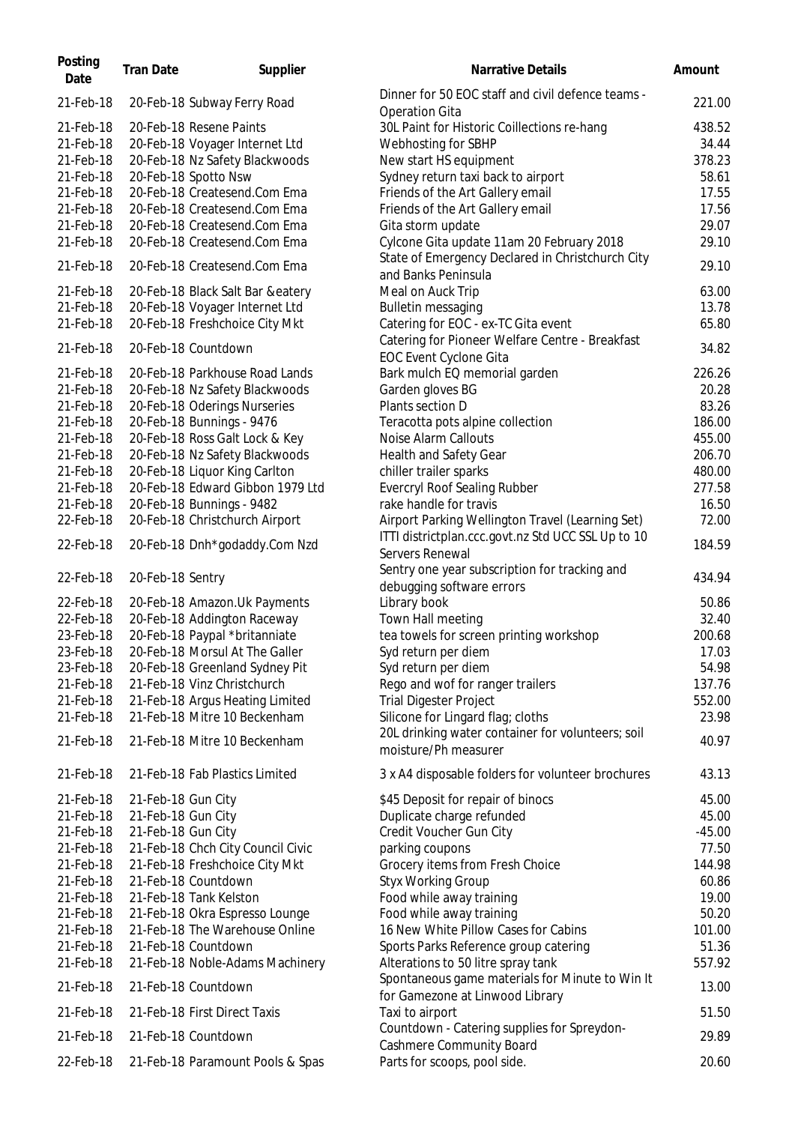| Posting<br>Date        | <b>Tran Date</b>   | Supplier                                                        | Narrative Details                                                                                      | Amount          |
|------------------------|--------------------|-----------------------------------------------------------------|--------------------------------------------------------------------------------------------------------|-----------------|
| 21-Feb-18              |                    | 20-Feb-18 Subway Ferry Road                                     | Dinner for 50 EOC staff and civil defence teams -<br><b>Operation Gita</b>                             | 221.00          |
| 21-Feb-18              |                    | 20-Feb-18 Resene Paints                                         | 30L Paint for Historic Coillections re-hang                                                            | 438.52          |
| 21-Feb-18              |                    | 20-Feb-18 Voyager Internet Ltd                                  | Webhosting for SBHP                                                                                    | 34.44           |
| 21-Feb-18              |                    | 20-Feb-18 Nz Safety Blackwoods                                  | New start HS equipment                                                                                 | 378.23          |
| 21-Feb-18              |                    | 20-Feb-18 Spotto Nsw                                            | Sydney return taxi back to airport                                                                     | 58.61           |
| 21-Feb-18              |                    | 20-Feb-18 Createsend.Com Ema                                    | Friends of the Art Gallery email                                                                       | 17.55           |
| 21-Feb-18              |                    | 20-Feb-18 Createsend.Com Ema                                    | Friends of the Art Gallery email                                                                       | 17.56           |
| 21-Feb-18              |                    | 20-Feb-18 Createsend.Com Ema                                    | Gita storm update                                                                                      | 29.07           |
| 21-Feb-18              |                    | 20-Feb-18 Createsend.Com Ema                                    | Cylcone Gita update 11am 20 February 2018                                                              | 29.10           |
| 21-Feb-18              |                    | 20-Feb-18 Createsend.Com Ema                                    | State of Emergency Declared in Christchurch City<br>and Banks Peninsula                                | 29.10           |
| 21-Feb-18              |                    | 20-Feb-18 Black Salt Bar &eatery                                | Meal on Auck Trip                                                                                      | 63.00           |
| 21-Feb-18              |                    | 20-Feb-18 Voyager Internet Ltd                                  | <b>Bulletin messaging</b>                                                                              | 13.78           |
| 21-Feb-18              |                    | 20-Feb-18 Freshchoice City Mkt                                  | Catering for EOC - ex-TC Gita event                                                                    | 65.80           |
| 21-Feb-18              |                    | 20-Feb-18 Countdown                                             | Catering for Pioneer Welfare Centre - Breakfast<br>EOC Event Cyclone Gita                              | 34.82           |
| 21-Feb-18              |                    | 20-Feb-18 Parkhouse Road Lands                                  | Bark mulch EQ memorial garden                                                                          | 226.26          |
| 21-Feb-18              |                    | 20-Feb-18 Nz Safety Blackwoods                                  | Garden gloves BG                                                                                       | 20.28           |
| 21-Feb-18              |                    | 20-Feb-18 Oderings Nurseries                                    | Plants section D                                                                                       | 83.26           |
| 21-Feb-18              |                    | 20-Feb-18 Bunnings - 9476                                       | Teracotta pots alpine collection                                                                       | 186.00          |
| 21-Feb-18              |                    | 20-Feb-18 Ross Galt Lock & Key                                  | Noise Alarm Callouts                                                                                   | 455.00          |
| 21-Feb-18              |                    | 20-Feb-18 Nz Safety Blackwoods                                  | Health and Safety Gear                                                                                 | 206.70          |
|                        |                    |                                                                 |                                                                                                        |                 |
| 21-Feb-18              |                    | 20-Feb-18 Liquor King Carlton                                   | chiller trailer sparks                                                                                 | 480.00          |
| 21-Feb-18              |                    | 20-Feb-18 Edward Gibbon 1979 Ltd                                | <b>Evercryl Roof Sealing Rubber</b>                                                                    | 277.58          |
| 21-Feb-18              |                    | 20-Feb-18 Bunnings - 9482                                       | rake handle for travis                                                                                 | 16.50           |
| 22-Feb-18<br>22-Feb-18 |                    | 20-Feb-18 Christchurch Airport<br>20-Feb-18 Dnh*godaddy.Com Nzd | Airport Parking Wellington Travel (Learning Set)<br>ITTI districtplan.ccc.govt.nz Std UCC SSL Up to 10 | 72.00<br>184.59 |
|                        |                    |                                                                 | Servers Renewal<br>Sentry one year subscription for tracking and                                       |                 |
| 22-Feb-18<br>22-Feb-18 | 20-Feb-18 Sentry   | 20-Feb-18 Amazon. Uk Payments                                   | debugging software errors<br>Library book                                                              | 434.94<br>50.86 |
| 22-Feb-18              |                    | 20-Feb-18 Addington Raceway                                     |                                                                                                        | 32.40           |
| 23-Feb-18              |                    |                                                                 | Town Hall meeting                                                                                      |                 |
|                        |                    | 20-Feb-18 Paypal *britanniate                                   | tea towels for screen printing workshop                                                                | 200.68          |
| 23-Feb-18              |                    | 20-Feb-18 Morsul At The Galler                                  | Syd return per diem                                                                                    | 17.03           |
| 23-Feb-18              |                    | 20-Feb-18 Greenland Sydney Pit                                  | Syd return per diem                                                                                    | 54.98           |
| 21-Feb-18              |                    | 21-Feb-18 Vinz Christchurch                                     | Rego and wof for ranger trailers                                                                       | 137.76          |
| 21-Feb-18              |                    | 21-Feb-18 Argus Heating Limited                                 | <b>Trial Digester Project</b>                                                                          | 552.00          |
| 21-Feb-18              |                    | 21-Feb-18 Mitre 10 Beckenham                                    | Silicone for Lingard flag; cloths                                                                      | 23.98           |
| 21-Feb-18              |                    | 21-Feb-18 Mitre 10 Beckenham                                    | 20L drinking water container for volunteers; soil<br>moisture/Ph measurer                              | 40.97           |
| 21-Feb-18              |                    | 21-Feb-18 Fab Plastics Limited                                  | 3 x A4 disposable folders for volunteer brochures                                                      | 43.13           |
| 21-Feb-18              | 21-Feb-18 Gun City |                                                                 | \$45 Deposit for repair of binocs                                                                      | 45.00           |
| 21-Feb-18              | 21-Feb-18 Gun City |                                                                 | Duplicate charge refunded                                                                              | 45.00           |
| 21-Feb-18              | 21-Feb-18 Gun City |                                                                 | Credit Voucher Gun City                                                                                | $-45.00$        |
| 21-Feb-18              |                    | 21-Feb-18 Chch City Council Civic                               | parking coupons                                                                                        | 77.50           |
| 21-Feb-18              |                    | 21-Feb-18 Freshchoice City Mkt                                  | Grocery items from Fresh Choice                                                                        | 144.98          |
| 21-Feb-18              |                    | 21-Feb-18 Countdown                                             | <b>Styx Working Group</b>                                                                              | 60.86           |
| 21-Feb-18              |                    | 21-Feb-18 Tank Kelston                                          | Food while away training                                                                               | 19.00           |
| 21-Feb-18              |                    | 21-Feb-18 Okra Espresso Lounge                                  | Food while away training                                                                               | 50.20           |
| 21-Feb-18              |                    | 21-Feb-18 The Warehouse Online                                  | 16 New White Pillow Cases for Cabins                                                                   | 101.00          |
| 21-Feb-18              |                    | 21-Feb-18 Countdown                                             | Sports Parks Reference group catering                                                                  | 51.36           |
| 21-Feb-18              |                    | 21-Feb-18 Noble-Adams Machinery                                 | Alterations to 50 litre spray tank                                                                     | 557.92          |
| 21-Feb-18              |                    | 21-Feb-18 Countdown                                             | Spontaneous game materials for Minute to Win It                                                        | 13.00           |
| 21-Feb-18              |                    | 21-Feb-18 First Direct Taxis                                    | for Gamezone at Linwood Library<br>Taxi to airport                                                     | 51.50           |
| 21-Feb-18              |                    | 21-Feb-18 Countdown                                             | Countdown - Catering supplies for Spreydon-<br><b>Cashmere Community Board</b>                         | 29.89           |
| 22-Feb-18              |                    | 21-Feb-18 Paramount Pools & Spas                                | Parts for scoops, pool side.                                                                           | 20.60           |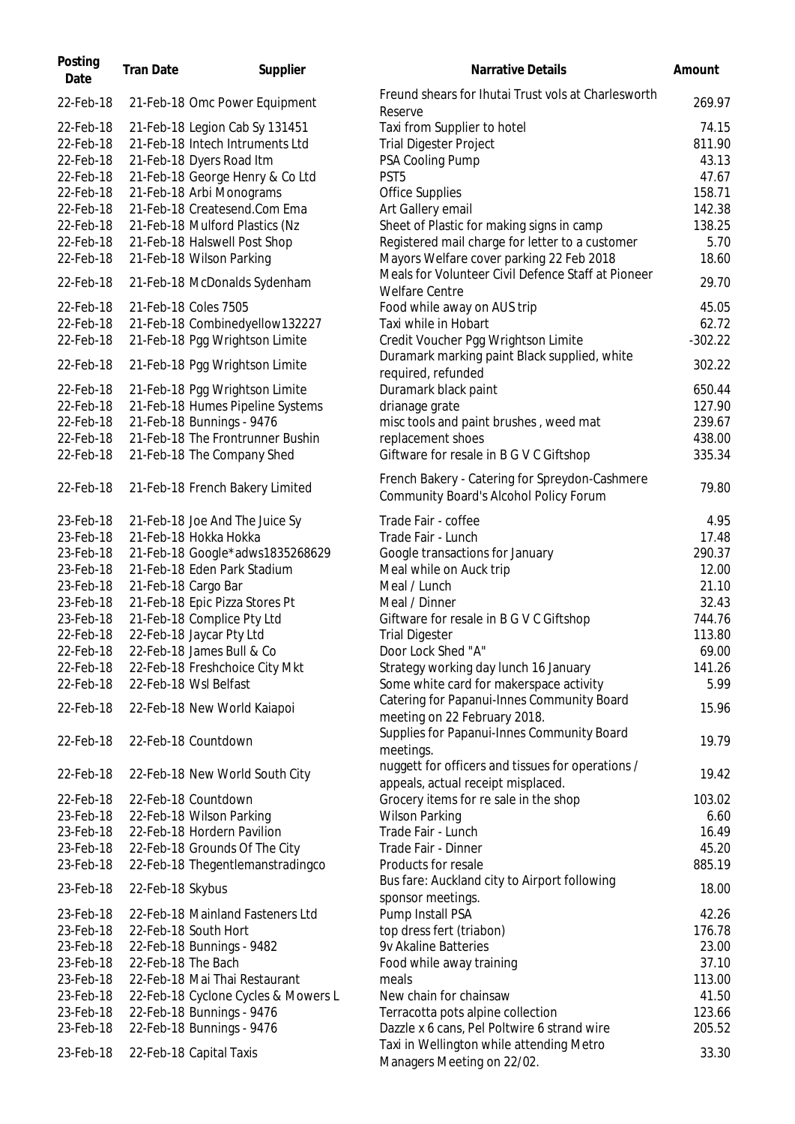| Posting<br>Date | <b>Tran Date</b>    | Supplier                            | Narrative Details                                                                        | Amount    |
|-----------------|---------------------|-------------------------------------|------------------------------------------------------------------------------------------|-----------|
| 22-Feb-18       |                     | 21-Feb-18 Omc Power Equipment       | Freund shears for Ihutai Trust vols at Charlesworth<br>Reserve                           | 269.97    |
| 22-Feb-18       |                     | 21-Feb-18 Legion Cab Sy 131451      | Taxi from Supplier to hotel                                                              | 74.15     |
| 22-Feb-18       |                     | 21-Feb-18 Intech Intruments Ltd     | <b>Trial Digester Project</b>                                                            | 811.90    |
| 22-Feb-18       |                     | 21-Feb-18 Dyers Road Itm            | PSA Cooling Pump                                                                         | 43.13     |
| 22-Feb-18       |                     | 21-Feb-18 George Henry & Co Ltd     | PST <sub>5</sub>                                                                         | 47.67     |
| 22-Feb-18       |                     | 21-Feb-18 Arbi Monograms            | <b>Office Supplies</b>                                                                   | 158.71    |
| 22-Feb-18       |                     | 21-Feb-18 Createsend.Com Ema        | Art Gallery email                                                                        | 142.38    |
| 22-Feb-18       |                     | 21-Feb-18 Mulford Plastics (Nz      | Sheet of Plastic for making signs in camp                                                | 138.25    |
| 22-Feb-18       |                     | 21-Feb-18 Halswell Post Shop        | Registered mail charge for letter to a customer                                          | 5.70      |
| 22-Feb-18       |                     | 21-Feb-18 Wilson Parking            | Mayors Welfare cover parking 22 Feb 2018                                                 | 18.60     |
| 22-Feb-18       |                     | 21-Feb-18 McDonalds Sydenham        | Meals for Volunteer Civil Defence Staff at Pioneer<br><b>Welfare Centre</b>              | 29.70     |
| 22-Feb-18       |                     | 21-Feb-18 Coles 7505                | Food while away on AUS trip                                                              | 45.05     |
| 22-Feb-18       |                     | 21-Feb-18 Combinedyellow132227      | Taxi while in Hobart                                                                     | 62.72     |
| 22-Feb-18       |                     | 21-Feb-18 Pgg Wrightson Limite      | Credit Voucher Pgg Wrightson Limite                                                      | $-302.22$ |
| 22-Feb-18       |                     | 21-Feb-18 Pgg Wrightson Limite      | Duramark marking paint Black supplied, white<br>required, refunded                       | 302.22    |
| 22-Feb-18       |                     | 21-Feb-18 Pgg Wrightson Limite      | Duramark black paint                                                                     | 650.44    |
| 22-Feb-18       |                     | 21-Feb-18 Humes Pipeline Systems    | drianage grate                                                                           | 127.90    |
| 22-Feb-18       |                     | 21-Feb-18 Bunnings - 9476           | misc tools and paint brushes, weed mat                                                   | 239.67    |
| 22-Feb-18       |                     | 21-Feb-18 The Frontrunner Bushin    | replacement shoes                                                                        | 438.00    |
| 22-Feb-18       |                     | 21-Feb-18 The Company Shed          | Giftware for resale in B G V C Giftshop                                                  | 335.34    |
| 22-Feb-18       |                     | 21-Feb-18 French Bakery Limited     | French Bakery - Catering for Spreydon-Cashmere<br>Community Board's Alcohol Policy Forum | 79.80     |
| 23-Feb-18       |                     | 21-Feb-18 Joe And The Juice Sy      | Trade Fair - coffee                                                                      | 4.95      |
| 23-Feb-18       |                     | 21-Feb-18 Hokka Hokka               | Trade Fair - Lunch                                                                       | 17.48     |
| 23-Feb-18       |                     | 21-Feb-18 Google*adws1835268629     | Google transactions for January                                                          | 290.37    |
| 23-Feb-18       |                     | 21-Feb-18 Eden Park Stadium         | Meal while on Auck trip                                                                  | 12.00     |
| 23-Feb-18       | 21-Feb-18 Cargo Bar |                                     | Meal / Lunch                                                                             | 21.10     |
| 23-Feb-18       |                     | 21-Feb-18 Epic Pizza Stores Pt      | Meal / Dinner                                                                            | 32.43     |
| 23-Feb-18       |                     | 21-Feb-18 Complice Pty Ltd          | Giftware for resale in B G V C Giftshop                                                  | 744.76    |
| 22-Feb-18       |                     | 22-Feb-18 Jaycar Pty Ltd            | <b>Trial Digester</b>                                                                    | 113.80    |
| 22-Feb-18       |                     | 22-Feb-18 James Bull & Co           | Door Lock Shed "A"                                                                       | 69.00     |
| 22-Feb-18       |                     | 22-Feb-18 Freshchoice City Mkt      | Strategy working day lunch 16 January                                                    | 141.26    |
| 22-Feb-18       |                     | 22-Feb-18 Wsl Belfast               | Some white card for makerspace activity                                                  | 5.99      |
| 22-Feb-18       |                     | 22-Feb-18 New World Kaiapoi         | Catering for Papanui-Innes Community Board<br>meeting on 22 February 2018.               | 15.96     |
| 22-Feb-18       |                     | 22-Feb-18 Countdown                 | Supplies for Papanui-Innes Community Board<br>meetings.                                  | 19.79     |
| 22-Feb-18       |                     | 22-Feb-18 New World South City      | nuggett for officers and tissues for operations /<br>appeals, actual receipt misplaced.  | 19.42     |
| 22-Feb-18       |                     | 22-Feb-18 Countdown                 | Grocery items for re sale in the shop                                                    | 103.02    |
| 23-Feb-18       |                     | 22-Feb-18 Wilson Parking            | <b>Wilson Parking</b>                                                                    | 6.60      |
| 23-Feb-18       |                     | 22-Feb-18 Hordern Pavilion          | Trade Fair - Lunch                                                                       | 16.49     |
| 23-Feb-18       |                     | 22-Feb-18 Grounds Of The City       | Trade Fair - Dinner                                                                      | 45.20     |
| 23-Feb-18       |                     | 22-Feb-18 Thegentlemanstradingco    | Products for resale                                                                      | 885.19    |
| 23-Feb-18       | 22-Feb-18 Skybus    |                                     | Bus fare: Auckland city to Airport following<br>sponsor meetings.                        | 18.00     |
| 23-Feb-18       |                     | 22-Feb-18 Mainland Fasteners Ltd    | Pump Install PSA                                                                         | 42.26     |
| 23-Feb-18       |                     | 22-Feb-18 South Hort                | top dress fert (triabon)                                                                 | 176.78    |
| 23-Feb-18       |                     | 22-Feb-18 Bunnings - 9482           | 9v Akaline Batteries                                                                     | 23.00     |
| 23-Feb-18       | 22-Feb-18 The Bach  |                                     | Food while away training                                                                 | 37.10     |
| 23-Feb-18       |                     | 22-Feb-18 Mai Thai Restaurant       | meals                                                                                    | 113.00    |
| 23-Feb-18       |                     | 22-Feb-18 Cyclone Cycles & Mowers L | New chain for chainsaw                                                                   | 41.50     |
| 23-Feb-18       |                     | 22-Feb-18 Bunnings - 9476           | Terracotta pots alpine collection                                                        | 123.66    |
| 23-Feb-18       |                     | 22-Feb-18 Bunnings - 9476           | Dazzle x 6 cans, Pel Poltwire 6 strand wire                                              | 205.52    |
| 23-Feb-18       |                     | 22-Feb-18 Capital Taxis             | Taxi in Wellington while attending Metro<br>Managers Meeting on 22/02.                   | 33.30     |